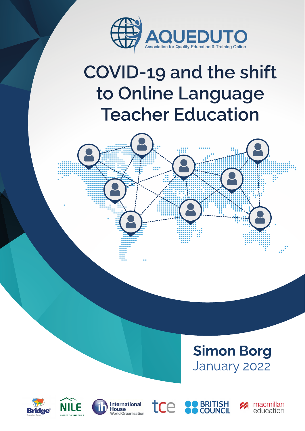

# **COVID-19 and the shift** to Online Language **Teacher Education**



## **Simon Borg** January 2022









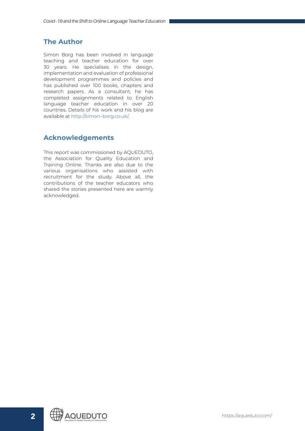## <span id="page-1-0"></span>**The Author**

Simon Borg has been involved in language teaching and teacher education for over 30 years. He specialises in the design, implementation and evaluation of professional development programmes and policies and has published over 100 books, chapters and research papers. As a consultant, he has completed assignments related to English language teacher education in over 20 countries. Details of his work and his blog are available at [http://simon–borg.co.uk/.](http://simon-borg.co.uk/)

## **Acknowledgements**

This report was commissioned by AQUEDUTO, the Association for Quality Education and Training Online. Thanks are also due to the various organisations who assisted with recruitment for the study. Above all, the contributions of the teacher educators who shared the stories presented here are warmly acknowledged.

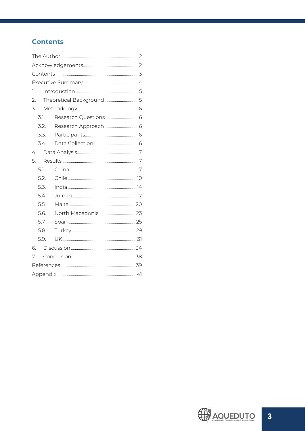## **Contents**

| 1. |      |  |  |  |
|----|------|--|--|--|
| 2. |      |  |  |  |
| 3. |      |  |  |  |
|    | 3.1. |  |  |  |
|    | 3.2. |  |  |  |
|    | 3.3. |  |  |  |
|    | 3.4. |  |  |  |
|    | 4.   |  |  |  |
| 5. |      |  |  |  |
|    | 5.1. |  |  |  |
|    | 5.2. |  |  |  |
|    | 5.3. |  |  |  |
|    | 5.4. |  |  |  |
|    | 5.5. |  |  |  |
|    | 5.6. |  |  |  |
|    | 5.7. |  |  |  |
|    | 5.8. |  |  |  |
|    | 5.9. |  |  |  |
| 6  |      |  |  |  |
| 7. |      |  |  |  |
|    |      |  |  |  |
|    |      |  |  |  |

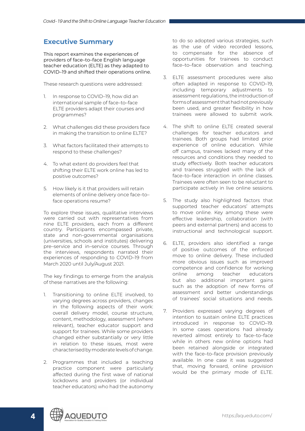## <span id="page-3-0"></span>**Executive Summary**

This report examines the experiences of providers of face–to–face English language teacher education (ELTE) as they adapted to COVID–19 and shifted their operations online.

These research questions were addressed:

- 1. In response to COVID-19, how did an international sample of face–to–face ELTE providers adapt their courses and programmes?
- 2. What challenges did these providers face in making the transition to online ELTE?
- 3. What factors facilitated their attempts to respond to these challenges?
- 4. To what extent do providers feel that shifting their ELTE work online has led to positive outcomes?
- 5. How likely is it that providers will retain elements of online delivery once face–to– face operations resume?

To explore these issues, qualitative interviews were carried out with representatives from nine ELTE providers, each from a different country. Participants encompassed private, state and non-governmental organisations (universities, schools and institutes) delivering pre–service and in–service courses. Through the interviews, respondents narrated their experiences of responding to COVID–19 from March 2020 until July/August 2021.

The key findings to emerge from the analysis of these narratives are the following:

- 1. Transitioning to online ELTE involved, to varying degrees across providers, changes in the following aspects of their work: overall delivery model, course structure, content, methodology, assessment (where relevant), teacher educator support and support for trainees. While some providers changed either substantially or very little in relation to these issues, most were characterised by moderate levels of change.
- 2. Programmes that included a teaching practice component were particularly affected during the first wave of national lockdowns and providers (or individual teacher educators) who had the autonomy

to do so adopted various strategies, such as the use of video recorded lessons, to compensate for the absence of opportunities for trainees to conduct face–to–face observation and teaching.

- 3. ELTE assessment procedures were also often adapted in response to COVID–19, including temporary adjustments to assessment regulations, the introduction of forms of assessment that had not previously been used, and greater flexibility in how trainees were allowed to submit work.
- 4. The shift to online ELTE created several challenges for teacher educators and trainees. Both groups had limited prior experience of online education. While off campus, trainees lacked many of the resources and conditions they needed to study effectively. Both teacher educators and trainees struggled with the lack of face–to–face interaction in online classes. Trainees were often seen to be reluctant to participate actively in live online sessions.
- 5. The study also highlighted factors that supported teacher educators' attempts to move online. Key among these were effective leadership, collaboration (with peers and external partners) and access to instructional and technological support.
- 6. ELTE, providers also identified a range of positive outcomes of the enforced move to online delivery. These included more obvious issues such as improved competence and confidence for working online among teacher educators but also additional important gains such as the adoption of new forms of assessment and better understandings of trainees' social situations and needs.
- 7. Providers expressed varying degrees of intention to sustain online ELTE practices introduced in response to COVID–19. In some cases operations had already reverted almost entirely to face–to–face while in others new online options had been retained alongside or integrated with the face–to–face provision previously available. In one case it was suggested that, moving forward, online provision would be the primary mode of ELTE.

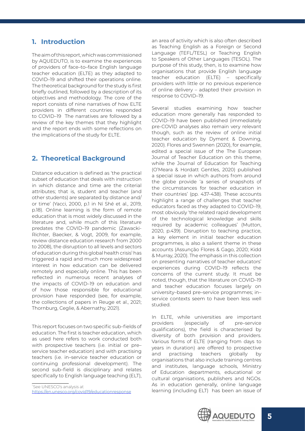## <span id="page-4-0"></span>**1. Introduction**

The aim of this report, which was commissioned by AQUEDUTO, is to examine the experiences of providers of face–to–face English language teacher education (ELTE) as they adapted to COVID–19 and shifted their operations online. The theoretical background for the study is first briefly outlined, followed by a description of its objectives and methodology. The core of the report consists of nine narratives of how ELTE providers in different countries responded to COVID–19 The narratives are followed by a review of the key themes that they highlight and the report ends with some reflections on the implications of the study for ELTE.

## **2. Theoretical Background**

Distance education is defined as 'the practical subset of education that deals with instruction in which distance and time are the criterial attributes; that is, student and teacher (and other students) are separated by distance and/ or time' (Yacci, 2000, p.1 in Ní Shé et al., 2019, p.18). Online learning is the form of remote education that is most widely discussed in the literature and, while much of this literature predates the COVID–19 pandemic (Zawacki-Richter, Baecker, & Vogt, 2009, for example, review distance education research from 2000 to 2008), the disruption to all levels and sectors of education during this global health crisis<sup>1</sup> has triggered a rapid and much more widespread interest in how education can be delivered remotely and especially online. This has been reflected in numerous recent analyses of the impacts of COVID–19 on education and of how those responsible for educational provision have responded (see, for example, the collections of papers in Reuge et al., 2021; Thornburg, Ceglie, & Abernathy, 2021).

This report focuses on two specific sub–fields of education. The first is teacher education, which as used here refers to work conducted both with prospective teachers (i.e. initial or pre– service teacher education) and with practising teachers (i.e. in–service teacher education or continuing professional development). The second sub–field is disciplinary and relates specifically to English language teaching (ELT),

<sup>1</sup> See UNESCO's analysis at <https://en.unesco.org/covid19/educationresponse> an area of activity which is also often described as Teaching English as a Foreign or Second Language (TEFL/TESL) or Teaching English to Speakers of Other Languages (TESOL). The purpose of this study, then, is to examine how organisations that provide English language teacher education (ELTE) – specifically providers with little or no previous experience of online delivery – adapted their provision in response to COVID–19.

Several studies examining how teacher education more generally has responded to COVID–19 have been published (immediately pre-COVID analyses also remain very relevant though, such as the review of online initial teacher education by Dyment & Downing, 2020). Flores and Swennen (2020), for example, edited a special issue of the The European Journal of Teacher Education on this theme, while the Journal of Education for Teaching (O'Meara & Hordatt Gentles, 2020) published a special issue in which authors from around the globe provide 'a series of snapshots of the circumstances for teacher education in their countries' (pp. 437-438). These accounts highlight a range of challenges that teacher educators faced as they adapted to COVID–19, most obviously 'the related rapid development of the technological knowledge and skills required by academic colleagues' (Mutton, 2020, p.439). Disruption to teaching practice, a key element in initial teacher education programmes, is also a salient theme in these accounts (Assunção Flores & Gago, 2020; Kidd & Murray, 2020). The emphasis in this collection on presenting narratives of teacher educators' experiences during COVID–19 reflects the concerns of the current study. It must be noted, though, that the literature on COVID–19 and teacher education focuses largely on university–based pre–service programmes; in– service contexts seem to have been less well studied.

In ELTE, while universities are important providers (especially of pre–service qualifications), the field is characterised by diversity of both provision and providers. Various forms of ELTE (ranging from days to years in duration) are offered to prospective and practising teachers globally by organisations that also include training centres and institutes, language schools, Ministry of Education departments, educational or cultural organisations, publishers and NGOs. As in education generally, online language learning (including ELT) has been an issue of

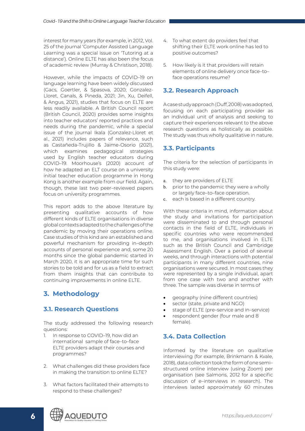<span id="page-5-0"></span>interest for many years (for example, in 2012, Vol. 25 of the journal 'Computer Assisted Language Learning was a special issue on 'Tutoring at a distance'). Online ELTE has also been the focus of academic review (Murray & Christison, 2018).

However, while the impacts of COVID–19 on language learning have been widely discussed (Gacs, Goertler, & Spasova, 2020; Gonzalez-Lloret, Canals, & Pineda, 2021; Jin, Xu, Deifell, & Angus, 2021), studies that focus on ELTE are less readily available. A British Council report (British Council, 2020) provides some insights into teacher educators' reported practices and needs during the pandemic, while a special issue of the journal Ikala (Gonzalez-Lloret et al., 2021) includes papers of relevance, such as Castañeda-Trujillo & Jaime-Osorio (2021), which examines pedagogical strategies used by English teacher educators during COVID–19. Moorhouse's (2020) account of how he adapted an ELT course on a university initial teacher education programme in Hong Kong is another example from our field. Again, though, these last two peer–reviewed papers focus on university programmes.

This report adds to the above literature by presenting qualitative accounts of how different kinds of ELTE organisations in diverse global contexts adapted to the challenges of the pandemic by moving their operations online. Case studies of this kind are an established and powerful mechanism for providing in–depth accounts of personal experience and, some 20 months since the global pandemic started in March 2020, it is an appropriate time for such stories to be told and for us as a field to extract from them insights that can contribute to continuing improvements in online ELTE.

## **3. Methodology**

## **3.1. Research Questions**

The study addressed the following research questions:

- 1. In response to COVID-19, how did an international sample of face–to–face ELTE providers adapt their courses and programmes?
- 2. What challenges did these providers face in making the transition to online ELTE?
- 3. What factors facilitated their attempts to respond to these challenges?
- 4. To what extent do providers feel that shifting their ELTE work online has led to positive outcomes?
- 5. How likely is it that providers will retain elements of online delivery once face–to– face operations resume?

## **3.2. Research Approach**

A case study approach (Duff, 2008) was adopted, focusing on each participating provider as an individual unit of analysis and seeking to capture their experiences relevant to the above research questions as holistically as possible. The study was thus wholly qualitative in nature.

## **3.3. Participants**

The criteria for the selection of participants in this study were:

- a. they are providers of ELTE
- b. prior to the pandemic they were a wholly or largely face–to–face operation.
- c. each is based in a different country.

With these criteria in mind, information about the study and invitations for participation were disseminated to and through personal contacts in the field of ELTE, individuals in specific countries who were recommended to me, and organisations involved in ELTE such as the British Council and Cambridge Assessment English. Over a period of several weeks, and through interactions with potential participants in many different countries, nine organisations were secured. In most cases they were represented by a single individual, apart from one case with two and another with three. The sample was diverse in terms of

- • geography (nine different countries)
- sector (state, private and NGO)
- stage of ELTE (pre–service and in–service)
- respondent gender (four male and 8 female).

## **3.4. Data Collection**

Informed by the literature on qualitative interviewing (for example, Brinkmann & Kvale, 2018), data collection took the form of one semi– structured online interview (using Zoom) per organisation (see Salmons, 2012 for a specific discussion of e–interviews in research). The interviews lasted approximately 60 minutes

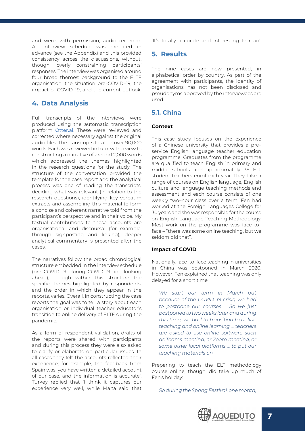<span id="page-6-0"></span>and were, with permission, audio recorded. An interview schedule was prepared in advance (see the Appendix) and this provided consistency across the discussions, without, though, overly constraining participants' responses. The interview was organised around four broad themes: background to the ELTE organisation; the situation pre–COVID–19; the impact of COVID–19; and the current outlook.

## **4. Data Analysis**

Full transcripts of the interviews were produced using the automatic transcription platform **[Otter.ai](https://otter.ai)**. These were reviewed and corrected where necessary against the original audio files. The transcripts totalled over 90,000 words. Each was reviewed in turn, with a view to constructing a narrative of around 2,000 words which addressed the themes highlighted in the research questions for the study. The structure of the conversation provided the template for the case report and the analytical process was one of reading the transcripts, deciding what was relevant (in relation to the research questions), identifying key verbatim extracts and assembling this material to form a concise and coherent narrative told from the participant's perspective and in their voice. My textual contributions to these accounts are organisational and discoursal (for example, through signposting and linking); deeper analytical commentary is presented after the cases.

The narratives follow the broad chronological structure embedded in the interview schedule (pre–COVID–19, during COVID–19 and looking ahead), though within this structure the specific themes highlighted by respondents, and the order in which they appear in the reports, varies. Overall, in constructing the case reports the goal was to tell a story about each organisation or individual teacher educator's transition to online delivery of ELTE during the pandemic.

As a form of respondent validation, drafts of the reports were shared with participants and during this process they were also asked to clarify or elaborate on particular issues. In all cases they felt the accounts reflected their experience; for example, the feedback from Spain was 'you have written a detailed account of our case, and the information is accurate', Turkey replied that 'I think it captures our experience very well, while Malta said that 'It's totally accurate and interesting to read'.

## **5. Results**

The nine cases are now presented, in alphabetical order by country. As part of the agreement with participants, the identity of organisations has not been disclosed and pseudonyms approved by the interviewees are used.

#### **5.1. China**

#### **Context**

This case study focuses on the experience of a Chinese university that provides a pre– service English language teacher education programme. Graduates from the programme are qualified to teach English in primary and middle schools and approximately 35 ELT student teachers enrol each year. They take a range of courses on English language, English culture and language teaching methods and assessment and each course consists of one weekly two–hour class over a term. Fen had worked at the Foreign Languages College for 30 years and she was responsible for the course on English Language Teaching Methodology. Most work on the programme was face–to– face – "there was some online teaching, but we seldom did that".

#### **Impact of COVID**

Nationally, face–to–face teaching in universities in China was postponed in March 2020. However, Fen explained that teaching was only delayed for a short time:

*We start our term in March but because of the COVID–19 crisis, we had to postpone our courses … So we just postponed to two weeks later and during this time, we had to transition to online teaching and online learning … teachers are asked to use online software such as Teams meeting, or Zoom meeting, or some other local platforms … to put our teaching materials on.*

Preparing to teach the ELT methodology course online, though, did take up much of Fen's holiday:

*So during the Spring Festival, one month,* 

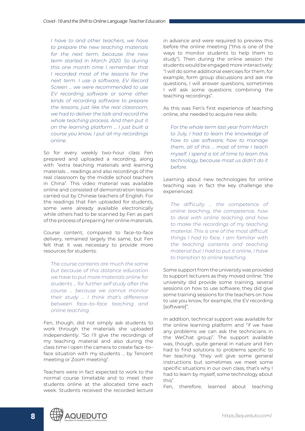*I have to and other teachers, we have to prepare the new teaching materials for the next term, because the new term started in March 2020. So during this one month time I remember that I recorded most of the lessons for the next term. I use a software, EV Record Screen … we were recommended to use EV recording software or some other kinds of recording software to prepare the lessons, just like the real classroom, we had to deliver the talk and record the whole teaching process. And then put it on the learning platform … I just built a course you know, I put all my recordings online.*

So for every weekly two–hour class Fen prepared and uploaded a recording, along with "extra teaching materials and learning materials … readings and also recordings of the real classroom by the middle school teachers in China". This video material was available online and consisted of demonstration lessons carried out by Chinese teachers of English. For the readings that Fen uploaded for students, some were already available electronically while others had to be scanned by Fen as part of the process of preparing her online materials.

Course content, compared to face–to–face delivery, remained largely the same, but Fen felt that it was necessary to provide more resources for students:

*The course contents are much the same but because of this distance education we have to put more materials online for students … for further self study after the course … because we cannot monitor their study … I think that's difference between face–to–face teaching and online teaching.*

Fen, though, did not simply ask students to work through the materials she uploaded independently: "So I'll give the recordings of my teaching material and also during the class time I open the camera to create face–to– face situation with my students … by Tencent meeting or Zoom meeting".

Teachers were in fact expected to work to the normal course timetable and to meet their students online at the allocated time each week. Students received the recorded lecture

in advance and were required to preview this before the online meeting ("this is one of the ways to monitor students to help them to study"). Then during the online session the students would be engaged more interactively: "I will do some additional exercises for them, for example, form group discussions and ask me questions, I will answer questions, sometimes I will ask some questions combining the teaching recordings".

As this was Fen's first experience of teaching online, she needed to acquire new skills:

*For the whole term last year from March to July, I had to learn the knowledge of how to use software, how to manage them, all of this … most of time I teach myself. I spend a lot of time to learn this technology, because most us didn't do it before.*

Learning about new technologies for online teaching was in fact the key challenge she experienced:

*The difficulty … the competence of online teaching, the competence, how to deal with online teaching and how to make the recordings of my teaching material. This is one of the most difficult things I had to face. I am familiar with the teaching contents and teaching material but I had to put it online, I have to transition to online teaching.*

Some support from the university was provided to support lecturers as they moved online: "the university did provide some training, several sessions on how to use software, they did give some training sessions for the teachers on how to use you know, for example, the EV recording [software]".

In addition, technical support was available for the online learning platform and "if we have any problems we can ask the technicians in the WeChat group". The support available was, though, quite general in nature and Fen had to find solutions to problems specific to her teaching: "they will give some general instructions but sometimes we meet some specific situations in our own class, that's why I had to learn by myself, some technology about this".

Fen, therefore, learned about teaching

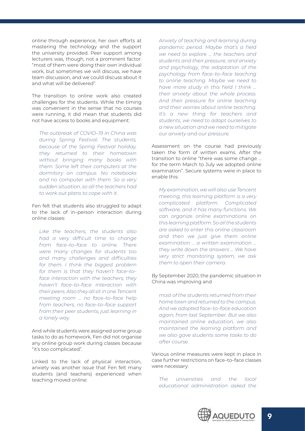online through experience, her own efforts at mastering the technology and the support the university provided. Peer support among lecturers was, though, not a prominent factor: "most of them were doing their own individual work, but sometimes we will discuss, we have team discussion, and we could discuss about it and what will be delivered".

The transition to online work also created challenges for the students. While the timing was convenient in the sense that no courses were running, it did mean that students did not have access to books and equipment:

*The outbreak of COVID–19 in China was during Spring Festival. The students, because of the Spring Festival holiday, they returned to their hometown without bringing many books with them. Some left their computers at the dormitory on campus. No notebooks and no computer with them. So a very sudden situation, so all the teachers had to work out plans to cope with it.*

Fen felt that students also struggled to adapt to the lack of in–person interaction during online classes:

*Like the teachers, the students also had a very difficult time to change from face–to–face to online. There were many changes for students too and many challenges and difficulties for them. I think the biggest problem for them is that they haven't face–to– face interaction with the teachers, they haven't face–to–face interaction with their peers. Also they all sit in one Tencent meeting room … no face–to–face help from teachers, no face–to–face support from their peer students, just learning in a lonely way.*

And while students were assigned some group tasks to do as homework, Fen did not organise any online group work during classes because "it's too complicated".

Linked to the lack of physical interaction, anxiety was another issue that Fen felt many students (and teachers) experienced when teaching moved online:

*Anxiety of teaching and learning during pandemic period. Maybe that's a field we need to explore … the teachers and students and their pressure, and anxiety and psychology, the adaptation of the psychology from face–to–face teaching to online teaching. Maybe we need to have more study in this field I think … their anxiety about the whole process. And their pressure for online teaching and their worries about online teaching. It's a new thing for teachers and students, we need to adapt ourselves to a new situation and we need to mitigate our anxiety and our pressure.*

Assessment on the course had previously taken the form of written exams. After the transition to online "there was some change … for the term March to July we adopted online examination". Secure systems were in place to enable this:

*My examination, we will also use Tencent meeting, this learning platform is a very complicated platform. Complicated software, and it has many functions. We can organize online examinations on this learning platform. So all the students are asked to enter this online classroom and then we just give them online examination … a written examination … they write down the answers … We have very strict monitoring system, we ask them to open their camera.*

#### By September 2020, the pandemic situation in China was improving and

*most of the students returned from their home town and returned to the campus. And we adopted face–to–face education again, from last September. But we also maintained online education, we also maintained the learning platform and we also gave students some tasks to do after course.*

Various online measures were kept in place in case further restrictions on face–to–face classes were necessary:

*The universities and the local educational administration asked the* 

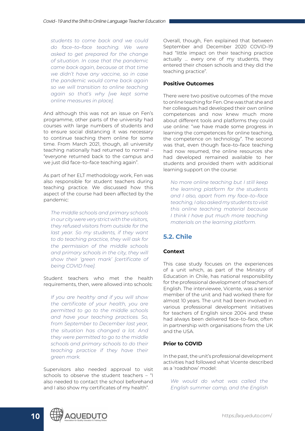<span id="page-9-0"></span>*students to come back and we could do face–to–face teaching. We were asked to get prepared for the change of situation. In case that the pandemic came back again, because at that time we didn't have any vaccine, so in case the pandemic would come back again so we will transition to online teaching again so that's why [we kept some online measures in place].*

And although this was not an issue on Fen's programme, other parts of the university had courses with large numbers of students and to ensure social distancing it was necessary to continue teaching them online for some time. From March 2021, though, all university teaching nationally had returned to normal – "everyone returned back to the campus and we just did face–to–face teaching again".

As part of her ELT methodology work, Fen was also responsible for student teachers during teaching practice. We discussed how this aspect of the course had been affected by the pandemic:

*The middle schools and primary schools in our city were very strict with the visitors, they refused visitors from outside for the last year. So my students, if they want to do teaching practice, they will ask for the permission of the middle schools and primary schools in the city, they will show their 'green mark' [certificate of being COVID free].* 

Student teachers who met the health requirements, then, were allowed into schools:

*If you are healthy and if you will show the certificate of your health, you are permitted to go to the middle schools and have your teaching practices. So, from September to December last year, the situation has changed a lot. And they were permitted to go to the middle schools and primary schools to do their teaching practice if they have their green mark.* 

Supervisors also needed approval to visit schools to observe the student teachers – "I also needed to contact the school beforehand and I also show my certificates of my health".

Overall, though, Fen explained that between September and December 2020 COVID–19 had "little impact on their teaching practice actually … every one of my students, they entered their chosen schools and they did the teaching practice".

#### **Positive Outcomes**

There were two positive outcomes of the move to online teaching for Fen. One was that she and her colleagues had developed their own online competences and now knew much more about different tools and platforms they could use online: "we have made some progress in learning the competences for online teaching, the competence on technology". The second was that, even though face–to–face teaching had now resumed, the online resources she had developed remained available to her students and provided them with additional learning support on the course:

*No more online teaching but I still keep the learning platform for the students and I also, apart from my face–to–face teaching, I also asked my students to visit this online teaching material because I think I have put much more teaching materials on the learning platform.*

## **5.2. Chile**

#### **Context**

This case study focuses on the experiences of a unit which, as part of the Ministry of Education in Chile, has national responsibility for the professional development of teachers of English. The interviewee, Vicente, was a senior member of the unit and had worked there for almost 10 years. The unit had been involved in various professional development initiatives for teachers of English since 2004 and these had always been delivered face–to–face, often in partnership with organisations from the UK and the USA.

#### **Prior to COVID**

In the past, the unit's professional development activities had followed what Vicente described as a 'roadshow' model:

*We would do what was called the English summer camp, and the English* 

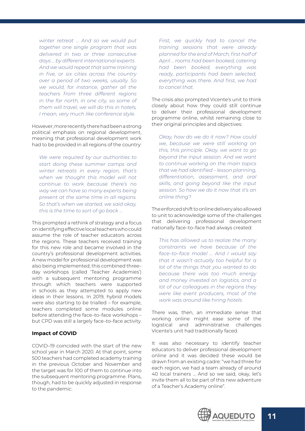*winter retreat … And so we would put together one single program that was delivered in two or three consecutive days … by different international experts . And we would repeat that same training in five, or six cities across the country over a period of two weeks, usually. So we would, for instance, gather all the teachers from three different regions in the far north, in one city, so some of them will travel, we will do this in hotels, I mean, very much like conference style.* 

However, more recently there had been a strong political emphasis on regional development. meaning that professional development work had to be provided in all regions of the country:

*We were required by our authorities to start doing these summer camps and winter retreats in every region, that's when we thought this model will not continue to work because there's no way we can have so many experts being present at the same time in all regions. So that's when we started, we said okay, this is the time to sort of go back …*

This prompted a rethink of strategy and a focus on identifying effective local teachers who could assume the role of teacher educators across the regions. These teachers received training for this new role and became involved in the country's professional development activities. A new model for professional development was also being implemented; this combined three– day workshops (called 'Teacher Academies') with a subsequent mentoring programme through which teachers were supported in schools as they attempted to apply new ideas in their lessons. In 2019, hybrid models were also starting to be trialled – for example, teachers completed some modules online before attending the face–to–face workshops – but CPD was still a largely face–to–face activity.

#### **Impact of COVID**

COVID–19 coincided with the start of the new school year in March 2020. At that point, some 500 teachers had completed academy training in the previous October and November and the target was for 100 of them to continue into the subsequent mentoring programme. Plans, though, had to be quickly adjusted in response to the pandemic:

*First, we quickly had to cancel the training sessions that were already planned for the end of March, first half of April … rooms had been booked, catering had been booked, everything was ready, participants had been selected, everything was there. And first, we had to cancel that.*

The crisis also prompted Vicente's unit to think closely about how they could still continue to deliver their professional development programme online, whilst remaining close to their original principles and objectives:

*Okay, how do we do it now? How could we, because we were still working on this, this principle. Okay, we want to go beyond the input session. And we want to continue working on the main topics that we had identified – lesson planning, differentiation, assessment, and oral skills, and going beyond like the input session. So how we do it now that it's an online thing?*

The enforced shift to online delivery also allowed to unit to acknowledge some of the challenges that delivering professional development nationally face–to–face had always created:

*This has allowed us to realize the many constraints we have because of the face–to–face model … And I would say that it wasn't actually too helpful for a lot of the things that you wanted to do because there was too much energy and money invested on logistics, and a lot of our colleagues in the regions they were like event producers, most of the work was around like hiring hotels.*

There was, then, an immediate sense that working online might ease some of the logistical and administrative challenges Vicente's unit had traditionally faced.

It was also necessary to identify teacher educators to deliver professional development online and it was decided these would be drawn from an existing cadre: "we had three for each region, we had a team already of around 40 local trainers … And so we said, okay, let's invite them all to be part of this new adventure of a Teacher's Academy online".

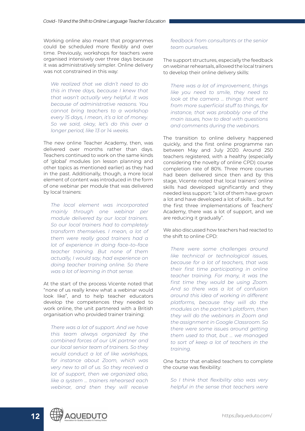Working online also meant that programmes could be scheduled more flexibly and over time. Previously, workshops for teachers were organised intensively over three days because it was administratively simpler. Online delivery was not constrained in this way:

*We realized that we didn't need to do this in three days, because I knew that that wasn't actually very helpful. It was because of administrative reasons. You cannot bring teachers to a workshop every 15 days, I mean, it's a lot of money. So we said, okay, let's do this over a longer period, like 13 or 14 weeks.*

The new online Teacher Academy, then, was delivered over months rather than days. Teachers continued to work on the same kinds of 'global' modules (on lesson planning and other topics as mentioned earlier) as they had in the past. Additionally, though, a more local element of content was introduced in the form of one webinar per module that was delivered by local trainers:

*The local element was incorporated mainly through one webinar per module delivered by our local trainers. So our local trainers had to completely transform themselves. I mean, a lot of them were really good trainers had a lot of experience in doing face–to–face teacher training. But none of them actually, I would say, had experience on doing teacher training online. So there was a lot of learning in that sense.*

At the start of the process Vicente noted that "none of us really knew what a webinar would look like", and to help teacher educators develop the competences they needed to work online, the unit partnered with a British organisation who provided trainer training:

*There was a lot of support. And we have this team always organized by the combined forces of our UK partner and our local senior team of trainers. So they would conduct a lot of like workshops, for instance about Zoom, which was very new to all of us. So they received a lot of support, then we organized also, like a system … trainers rehearsed each webinar, and then they will receive* 

#### *feedback from consultants or the senior team ourselves.*

The support structures, especially the feedback on webinar rehearsals, allowed the local trainers to develop their online delivery skills:

*There was a lot of improvement, things like you need to smile, they need to look at the camera … things that went from more superficial stuff to things, for instance, that was probably one of the main issues, how to deal with questions and comments during the webinars.*

The transition to online delivery happened quickly, and the first online programme ran between May and July 2020. Around 250 teachers registered, with a healthy (especially considering the novelty of online CPD) course completion rate of 80%. Three more courses had been delivered since then and by this stage, Vicente noted that local trainers' online skills had developed significantly and they needed less support: "a lot of them have grown a lot and have developed a lot of skills … but for the first three implementations of Teachers' Academy, there was a lot of support, and we are reducing it gradually".

We also discussed how teachers had reacted to the shift to online CPD:

*There were some challenges around like technical or technological issues, because for a lot of teachers, that was their first time participating in online teacher training. For many, it was the first time they would be using Zoom. And so there was a lot of confusion around this idea of working in different platforms, because they will do the modules on the partner's platform, then they will do the webinars in Zoom and the assignment in Google Classroom. So there were some issues around getting them used to that, but … we managed to sort of keep a lot of teachers in the training.* 

One factor that enabled teachers to complete the course was flexibility:

*So I think that flexibility also was very helpful in the sense that teachers were* 

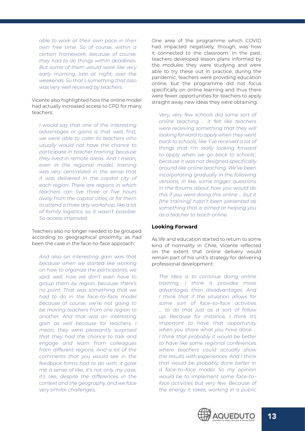*able to work at their own pace in their own free time. So of course, within a certain framework, because of course, they had to do things within deadlines. But some of them would work like very early morning, late at night, over the weekends. So that's something that also was very well received by teachers.*

Vicente also highlighted how the online model had actually increased access to CPD for many teachers:

*I would say that one of the interesting advantages or gains is that well, first, we were able to cater to teachers who usually would not have the chance to participate in teacher training, because they lived in remote areas. And I mean, even in the regional model, training was very centralized in the sense that it was delivered in the capital city of each region. There are regions in which teachers can live three or five hours away from the capital cities, or for them to attend a three day workshop, like a lot of family logistics, so it wasn't possible. So access improved.* 

Teachers also no longer needed to be grouped according to geographical proximity, as had been the case in the face–to–face approach:

*And also an interesting gain was that because when we started like working on how to organize the participants, we said, well, now we don't even have to group them by region, because there's no point. That was something that we had to do in the face–to–face model because of course, we're not going to be moving teachers from one region to another. And that was an interesting gain as well because for teachers, I mean, they were pleasantly surprised that they had the chance to talk and engage and learn from colleagues from different regions. And a lot of the comments that you would see in the feedback forms had to do with, it gave me a sense of like, it's not only my case, it's like, despite the differences in the context and the geography, and we face very similar challenges,*

One area of the programme which COVID had impacted negatively, though, was how it connected to the classroom. In the past, teachers developed lesson plans informed by the modules they were studying and were able to try these out in practice; during the pandemic, teachers were providing education online, but the programme did not focus specifically on online learning and thus there were fewer opportunities for teachers to apply straight away new ideas they were obtaining:

*Very, very few schools did some sort of online teaching … it felt like teachers were receiving something that they will looking forward to apply when they went back to schools, like 'I've received a lot of things that I'm really looking forward to apply when we go back to schools', because it was not designed specifically around like online teaching. We've been incorporating gradually in the following versions, in like, some trigger questions in the forums about how you would do this if you were doing this online … but it [the training] hasn't been presented as something that is aimed at helping you as a teacher to teach online.* 

#### **Looking Forward**

As life and education started to return to some kind of normality in Chile, Vicente reflected on the extent that online delivery would remain part of his unit's strategy for delivering professional development:

*The idea is to continue doing online training, I think it provides more advantages than disadvantages. And I think that if the situation allows for some sort of face–to–face activities … to do that just as a sort of follow up. Because for instance, I think it's important to have that opportunity when you share what you have done … I think that probably it would be better to have like some regional conferences where teachers could actually show the results with experiences. And I think that would be probably done better in a face–to–face model. So my opinion would be to implement some face–to– face activities but very few. Because of the energy it takes, working in a public* 

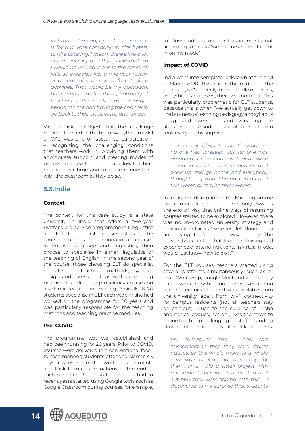<span id="page-13-0"></span>*institution, I mean, it's not as easy as it is for a private company to hire hotels, to hire catering. I mean, there's like a lot of bureaucracy and things like that. So I would be very cautious in the sense of, let's do probably like a mid year review or an end of year review, face–to–face activities. That would be my approach, but continue to offer this opportunity of teachers working online over a longer period of time and having the chance to go back to their classrooms and try out.* 

Vicente acknowledged that the challenge moving forward with this new hybrid model of CPD was one of "sustained participation" – recognizing the challenging conditions that teachers work in, providing them with appropriate support, and creating modes of professional development that allow teachers to learn over time and to make connections with the classroom as they do so.

## **5.3.India**

#### **Context**

The context for this case study is a state university in India that offers a two–year Master's pre–service programme in Linguistics and ELT. In the first two semesters of the course students do foundational courses in English language and linguistics, then choose to specialise in either linguistics or the teaching of English. In the second year of the course, those choosing ELT do specialist modules on teaching methods, syllabus design and assessment, as well as teaching practice in addition to proficiency courses on academic reading and writing. Typically 18–20 students specialise in ELT each year. Prisha had worked on the programme for 20 years and was particularly responsible for the teaching methods and teaching practice modules.

#### **Pre–COVID**

The programme was well–established and had been running for 20 years. Prior to COVID, courses were delivered in a conventional face– to–face manner; students attended classes six days a week, submitted written assignments and took formal examinations at the end of each semester. Some staff members had in recent years started using Google tools such as Google Classroom during courses, for example, to allow students to submit assignments, but according to Prisha "we had never ever taught in online mode".

#### **Impact of COVID**

India went into complete lockdown at the end of March 2020. This was in the middle of the semester, so "suddenly in the middle of classes, everything shut down, there was nothing". This was particularly problematic for ELT students, because this is when "we actually get down to the business of teaching pedagogy and syllabus design and assessment and everything else about ELT". The suddenness of the shutdown took everyone by surprise:

*This was an absolute chaotic situation, no one had foreseen this, no one was prepared, so very suddenly students were asked to vacate their residences and pack up and go home and everybody thought they would be back in around two weeks or maybe three weeks.*

In reality the disruption to the MA programme lasted much longer and it was only towards the end of May that online ways of resuming courses started to be explored. However, there was no co–ordinated university strategy and individual lecturers "were just left floundering and trying to find their way … they [the university] expected that teachers, having had experience of attending events in virtual mode, would just know how to do it".

For the ELT courses, teachers started using several platforms simultaneously, such as e– mail, WhatsApp, Google Meet and Zoom. They had to work everything out themselves and no specific technical support was available from the university, apart from wi–fi connectivity for campus residents (not all teachers stay on campus). Much to the surprise of Prisha and her colleagues, not only was the move to online teaching challenging for staff, attending classes online was equally difficult for students:

*My colleagues and I had this misconception that they were digital natives, so this whole move to a whole new way of learning was easy for them, until I did a small project with my students because I wanted to find out how they were coping with this … I discovered to my surprise that students* 

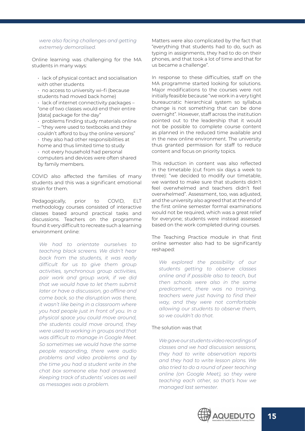*were also facing challenges and getting extremely demoralised.*

Online learning was challenging for the MA students in many ways:

• lack of physical contact and socialisation with other students

• no access to university wi–fi (because students had moved back home)

• lack of internet connectivity packages – "one of two classes would end their entire [data] package for the day"

• problems finding study materials online – "they were used to textbooks and they

couldn't afford to buy the online versions" • they also had other responsibilities at home and thus limited time to study • not every household had personal computers and devices were often shared by family members.

COVID also affected the families of many students and this was a significant emotional strain for them.

Pedagogically, prior to COVID, ELT methodology courses consisted of interactive classes based around practical tasks and discussions. Teachers on the programme found it very difficult to recreate such a learning environment online:

*We had to orientate ourselves to teaching black screens. We didn't hear back from the students, it was really difficult for us to give them group activities, synchronous group activities, pair work and group work, if we did that we would have to let them submit later or have a discussion, go offline and come back, so the disruption was there, it wasn't like being in a classroom where you had people just in front of you. In a physical space you could move around, the students could move around, they were used to working in groups and that was difficult to manage in Google Meet. So sometimes we would have the same people responding, there were audio problems and video problems and by the time you had a student write in the chat box someone else had answered. Keeping track of students' voices as well as messages was a problem.*

Matters were also complicated by the fact that "everything that students had to do, such as typing in assignments, they had to do on their phones, and that took a lot of time and that for us became a challenge".

In response to these difficulties, staff on the MA programme started looking for solutions. Major modifications to the courses were not initially feasible because "we work in a very tight bureaucratic hierarchical system so syllabus change is not something that can be done overnight". However, staff across the institution pointed out to the leadership that it would not be possible to complete course content as planned in the reduced time available and in the new online environment. The university thus granted permission for staff to reduce content and focus on priority topics.

This reduction in content was also reflected in the timetable (cut from six days a week to three): "we decided to modify our timetable, we wanted to make sure that students didn't feel overwhelmed and teachers didn't feel overwhelmed". Assessment, too, was adjusted, and the university also agreed that at the end of the first online semester formal examinations would not be required, which was a great relief for everyone; students were instead assessed based on the work completed during courses.

The Teaching Practice module in that first online semester also had to be significantly reshaped:

*We explored the possibility of our students getting to observe classes online and if possible also to teach, but then schools were also in the same predicament, there was no training, teachers were just having to find their way, and they were not comfortable allowing our students to observe them, so we couldn't do that.*

#### The solution was that

*We gave our students video recordings of classes and we had discussion sessions, they had to write observation reports and they had to write lesson plans. We also tried to do a round of peer teaching online (on Google Meet), so they were teaching each other, so that's how we managed last semester.* 

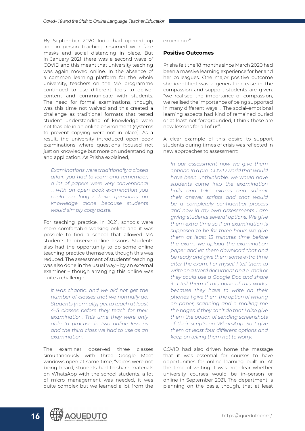By September 2020 India had opened up and in–person teaching resumed with face masks and social distancing in place. But in January 2021 there was a second wave of COVID and this meant that university teaching was again moved online. In the absence of a common learning platform for the whole university, teachers on the MA programme continued to use different tools to deliver content and communicate with students. The need for formal examinations, though, was this time not waived and this created a challenge as traditional formats that tested student understanding of knowledge were not feasible in an online environment (systems to prevent copying were not in place). As a result, the university introduced open book examinations where questions focused not just on knowledge but more on understanding and application. As Prisha explained,

*Examinations were traditionally a closed affair, you had to learn and remember, a lot of papers were very conventional … with an open book examination you could no longer have questions on knowledge alone because students would simply copy paste.*

For teaching practice, in 2021, schools were more comfortable working online and it was possible to find a school that allowed MA students to observe online lessons. Students also had the opportunity to do some online teaching practice themselves, though this was reduced. The assessment of students' teaching was also done in the usual way – by an external examiner – though arranging this online was quite a challenge:

*it was chaotic, and we did not get the number of classes that we normally do. Students [normally] get to teach at least 4–5 classes before they teach for their examination. This time they were only able to practise in two online lessons and the third class we had to use as an examination.* 

The examiner observed three classes simultaneously with three Google Meet windows open at same time; "voices were not being heard, students had to share materials on WhatsApp with the school students, a lot of micro management was needed, it was quite complex but we learned a lot from the experience".

#### **Positive Outcomes**

Prisha felt the 18 months since March 2020 had been a massive learning experience for her and her colleagues. One major positive outcome she identified was a general increase in the compassion and support students are given: "we realised the importance of compassion, we realised the importance of being supported in many different ways … The social–emotional learning aspects had kind of remained buried or at least not foregrounded, I think these are now lessons for all of us".

A clear example of this desire to support students during times of crisis was reflected in new approaches to assessment:

*In our assessment now we give them options. In a pre–COVID world that would have been unthinkable, we would have students come into the examination halls and take exams and submit their answer scripts and that would be a completely confidential process and now in my own assessments I am giving students several options. We give them extra time so if an examination is supposed to be for three hours we give them at least 15 minutes time before the exam, we upload the examination paper and let them download that and be ready and give them some extra time after the exam. For myself I tell them to write on a Word document and e–mail or they could use a Google Doc and share it. I tell them if this none of this works, because they have to write on their phones, I give them the option of writing on paper, scanning and e–mailing me the pages, if they can't do that I also give them the option of sending screenshots of their scripts on WhatsApp. So I give them at least four different options and keep on telling them not to worry.*

COVID had also driven home the message that it was essential for courses to have opportunities for online learning built in. At the time of writing it was not clear whether university courses would be in–person or online in September 2021. The department is planning on the basis, though, that at least

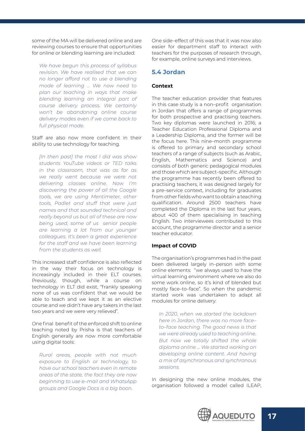<span id="page-16-0"></span>some of the MA will be delivered online and are reviewing courses to ensure that opportunities for online or blending learning are included:

*We have begun this process of syllabus revision. We have realised that we can no longer afford not to use a blending mode of learning … We now need to plan our teaching in ways that make blending learning an integral part of course delivery process. We certainly won't be abandoning online course delivery modes even if we come back to full physical mode.*

#### Staff are also now more confident in their ability to use technology for teaching.

*[In then past] the most I did was show students YouTube videos or TED talks in the classroom, that was as far as we really went because we were not delivering classes online. Now I'm discovering the power of all the Google tools, we are using Mentimeter, other tools, Padlet and stuff that were just names and that sounded technical and really beyond us but all of these are now being used, some of us senior people are learning a lot from our younger colleagues. It's been a great experience for the staff and we have been learning from the students as well.*

This increased staff confidence is also reflected in the way their focus on technology is increasingly included in their ELT courses. Previously, though, while a course on technology in ELT did exist, "frankly speaking none of us was confident that we would be able to teach and we kept it as an elective course and we didn't have any takers in the last two years and we were very relieved".

One final benefit of the enforced shift to online teaching noted by Prisha is that teachers of English generally are now more comfortable using digital tools:

*Rural areas, people with not much exposure to English or technology, to have our school teachers even in remote areas of the state, the fact they are now beginning to use e–mail and WhatsApp groups and Google Docs is a big boon.*

One side–effect of this was that it was now also easier for department staff to interact with teachers for the purposes of research through, for example, online surveys and interviews.

#### **5.4 Jordan**

#### **Context**

The teacher education provider that features in this case study is a non–profit organisation in Jordan that offers a range of programmes for both prospective and practising teachers. Two key diplomas were launched in 2016; a Teacher Education Professional Diploma and a Leadership Diploma, and the former will be the focus here. This nine–month programme is offered to primary and secondary school teachers of a range of subjects (such as Arabic, English, Mathematics and Science) and consists of both generic pedagogical modules and those which are subject–specific. Although the programme has recently been offered to practising teachers, it was designed largely for a pre–service context, including for graduates from other fields who want to obtain a teaching qualification. Around 2500 teachers have completed the Diploma in the last four years, about 400 of them specialising in teaching English. Two interviewees contributed to this account, the programme director and a senior teacher educator.

#### **Impact of COVID**

The organisation's programmes had in the past been delivered largely in–person with some online elements: "we always used to have the virtual learning environment where we also do some work online, so it's kind of blended but mostly face–to–face". So when the pandemic started work was undertaken to adapt all modules for online delivery:

*In 2020, when we started the lockdown here in Jordan, there was no more face– to–face teaching. The good news is that we were already used to teaching online. But now we totally shifted the whole diploma online … We started working on developing online content. And having a mix of asynchronous and synchronous sessions.* 

In designing the new online modules, the organisation followed a model called ILEAP,

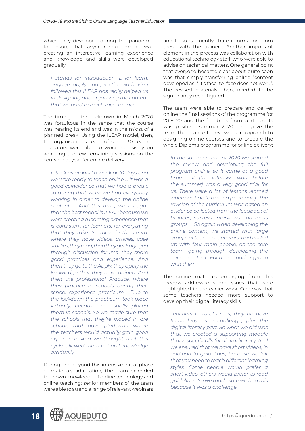which they developed during the pandemic to ensure that asynchronous model was creating an interactive learning experience and knowledge and skills were developed gradually:

*I stands for introduction, L for learn, engage, apply and practice. So having followed this ILEAP has really helped us in designing and organizing the content that we used to teach face–to–face.*

The timing of the lockdown in March 2020 was fortuitous in the sense that the course was nearing its end and was in the midst of a planned break. Using the ILEAP model, then, the organisation's team of some 30 teacher educators were able to work intensively on adapting the few remaining sessions on the course that year for online delivery:

*It took us around a week or 10 days and we were ready to teach online … it was a good coincidence that we had a break, so during that week we had everybody working in order to develop the online content … And this time, we thought that the best model is ILEAP because we were creating a learning experience that is consistent for learners, for everything that they take. So they do the Learn, where they have videos, articles, case studies, they read, then they get Engaged through discussion forums, they share good practices and experience. And then they go to the Apply, they apply the knowledge that they have gained. And then the professional Practice, where they practice in schools during their school experience practicum. Due to the lockdown the practicum took place virtually, because we usually placed them in schools. So we made sure that the schools that they're placed in are schools that have platforms, where the teachers would actually gain good experience. And we thought that this cycle, allowed them to build knowledge gradually.* 

During and beyond this intensive initial phase of materials adaptation, the team extended their own knowledge of online technology and online teaching; senior members of the team were able to attend a range of relevant webinars

and to subsequently share information from these with the trainers. Another important element in the process was collaboration with educational technology staff, who were able to advise on technical matters. One general point that everyone became clear about quite soon was that simply transferring online "content developed as if it's face–to–face does not work". The revised materials, then, needed to be significantly reconfigured.

The team were able to prepare and deliver online the final sessions of the programme for 2019–20 and the feedback from participants was positive. Summer 2020 then gave the team the chance to review their approach to designing online courses and to prepare the whole Diploma programme for online delivery:

*In the summer time of 2020 we started the review and developing the full program online, so it came at a good time … it [the intensive work before the summer] was a very good trial for us. There were a lot of lessons learned where we had to amend [materials].. The revision of the curriculum was based on evidence collected from the feedback of trainees, surveys, interviews and focus groups. … So again when developing the online content, we started with large groups of teacher educators and ended up with four main people, as the core team, going through developing the online content. Each one had a group with them.*

The online materials emerging from this process addressed some issues that were highlighted in the earlier work. One was that some teachers needed more support to develop their digital literacy skills:

*Teachers in rural areas, they do have technology as a challenge, plus the digital literacy part. So what we did was that we created a supporting module that is specifically for digital literacy. And we ensured that we have short videos, in addition to guidelines, because we felt that you need to reach different learning styles. Some people would prefer a short video, others would prefer to read guidelines. So we made sure we had this because it was a challenge.*

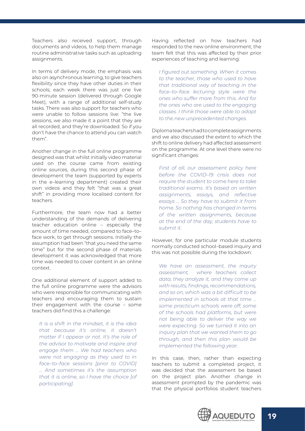Teachers also received support, through documents and videos, to help them manage routine administrative tasks such as uploading assignments.

In terms of delivery mode, the emphasis was also on asynchronous learning, to give teachers flexibility since they have other duties in their schools; each week there was just one live 90-minute session (delivered through Google Meet), with a range of additional self-study tasks. There was also support for teachers who were unable to follow sessions live: "the live sessions, we also made it a point that they are all recorded, and they're downloaded. So if you don't have the chance to attend you can watch them".

Another change in the full online programme designed was that whilst initially video material used on the course came from existing online sources, during this second phase of development the team (supported by experts in the e–learning department) created their own videos and they felt "that was a great shift" in providing more localised content for teachers.

Furthermore, the team now had a better understanding of the demands of delivering teacher education online – especially the amount of time needed, compared to face–to– face work, to get through sessions. Initially the assumption had been "that you need the same time" but for the second phase of materials development it was acknowledged that more time was needed to cover content in an online context.

One additional element of support added to the full online programme were the advisors who were responsible for communicating with teachers and encouraging them to sustain their engagement with the course – some teachers did find this a challenge:

*It is a shift in the mindset, it is the idea that because it's online, it doesn't matter if I appear or not. It's the role of the advisor to motivate and inspire and engage them … We had teachers who were not engaging as they used to in face–to–face sessions [prior to COVID] … And sometimes it's the assumption that it is online, so I have the choice [of participating].*

Having reflected on how teachers had responded to the new online environment, the team felt that this was affected by their prior experiences of teaching and learning:

*I figured out something. When it comes to the teacher, those who used to have that traditional way of teaching in the face–to–face lecturing style were the ones who suffer more from this. And for the ones who are used to the engaging classes. I think those were able to adapt to the new unprecedented changes.*

Diploma teachers had to complete assignments and we also discussed the extent to which the shift to online delivery had affected assessment on the programme. At one level there were no significant changes:

*First of all, our assessment policy here before the COVID–19 crisis does not require the student to come here to take traditional exams. It's based on written assignments, essays, and reflective essays … So they have to submit it from home. So nothing has changed in terms of the written assignments, because at the end of the day, students have to submit it.* 

However, for one particular module students normally conducted school–based inquiry and this was not possible during the lockdown:

*We have an assessment, the inquiry assessment, where teachers collect data, they analyze it, and they come up with results, findings, recommendations, and so on, which was a bit difficult to be implemented in schools at that time … some practicum schools were off, some of the schools had platforms, but were not being able to deliver the way we were expecting. So we turned it into an inquiry plan that we wanted them to go through, and then this plan would be implemented the following year.*

In this case, then, rather than expecting teachers to submit a completed project, it was decided that the assessment be based on the project plan. Another change in assessment prompted by the pandemic was that the physical portfolios student teachers

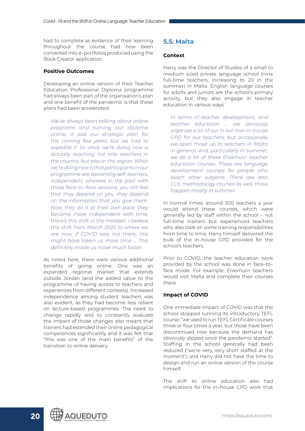<span id="page-19-0"></span>had to complete as evidence of their learning throughout the course had now been converted into e–portfolios produced using the Book Creator application.

#### **Positive Outcomes**

Developing an online version of their Teacher Education Professional Diploma programme had always been part of the organisation's plan and one benefit of the pandemic is that these plans had been accelerated:

*We've always been talking about online programs and turning our diploma online, it was our strategic plan for the coming few years, but we had to expedite it. So what we're doing now is actually reaching not only teachers in the country, but also in the region. What we're doing now is that participants in our programme are becoming self–learners, independent, whereas in the past with those face–to–face sessions, you still feel that they depend on you, they depend on the information that you give them. Now, they do it at their own pace, they became more independent with time, there's this shift in the mindset. I believe this shift from March 2020 to where we are now, if COVID was not there, this might have taken us more time … This definitely made us move much faster.*

As noted here, there were various additional benefits of going online. One was an expanded regional market that extends outside Jordan (and the added value to the programme of having access to teachers and experiences from different contexts). Increased independence among student teachers was also evident, as they had become less reliant on lecture-based programmes. The need to change rapidly and to constantly evaluate the impact of those changes also meant that trainers had extended their online pedagogical competences significantly and it was felt that "this was one of the main benefits" of the transition to online delivery.

#### **5.5. Malta**

#### **Context**

Harry was the Director of Studies of a small to medium sized private language school (nine full–time teachers, increasing to 20 in the summer) in Malta. English language courses for adults and juniors are the school's primary activity, but they also engage in teacher education in various ways:

*In terms of teacher development, and teacher education … we obviously organize a lot of our in our own in–house CPD for our teachers, but occasionally we open those up to teachers in Malta in general. And, particularly in summer, we do a lot of these Erasmus+ teacher education courses. These are language development courses for people who teach other subjects. There are also CLIL methodology courses as well, those happen mostly in summer.*

In normal times, around 200 teachers a year would attend these courses, which were generally led by staff within the school – not full–time trainers but experienced teachers who also took on some training responsibilities from time to time. Harry himself delivered the bulk of the in–house CPD provided for the school's teachers.

Prior to COVID, the teacher education work provided by the school was done in face–to– face mode. For example, Erasmus+ teachers would visit Malta and complete their courses there.

#### **Impact of COVID**

One immediate impact of COVID was that the school stopped running its introductory TEFL course: "we used to run TEFL Certificate courses three or four times a year, but those have been discontinued now because the demand has obviously dipped since the pandemic started". Staffing in the school generally had been reduced ("we're very, very short staffed at the moment") and Harry did not have the time to design and run an online version of the course himself.

The shift to online education also had implications for the in–house CPD work that



20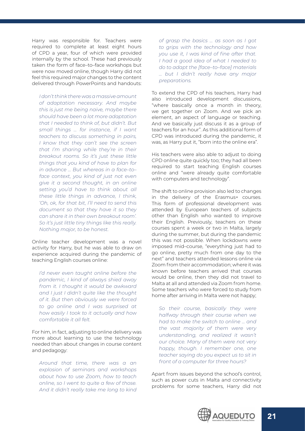Harry was responsible for. Teachers were required to complete at least eight hours of CPD a year, four of which were provided internally by the school. These had previously taken the form of face–to–face workshops but were now moved online, though Harry did not feel this required major changes to the content delivered through PowerPoints and handouts:

*I don't think there was a massive amount of adaptation necessary. And maybe this is just me being naive, maybe there should have been a lot more adaptation that I needed to think of, but didn't. But small things … for instance, if I want teachers to discuss something in pairs, I know that they can't see the screen that I'm sharing while they're in their breakout rooms. So it's just these little things that you kind of have to plan for in advance … But whereas in a face–to– face context, you kind of just not even give it a second thought, in an online setting you'd have to think about all these little things in advance, I think, 'Oh, ok, for that bit, I'll need to send this document so that they have it so they can share it in their own breakout room'. So it's just little tiny things like this really. Nothing major, to be honest.*

Online teacher development was a novel activity for Harry, but he was able to draw on experience acquired during the pandemic of teaching English courses online:

*I'd never even taught online before the pandemic, I kind of always shied away from it. I thought it would be awkward and I just I didn't quite like the thought of it. But then obviously we were forced to go online and I was surprised at how easily I took to it actually and how comfortable it all felt.*

For him, in fact, adjusting to online delivery was more about learning to use the technology needed than about changes in course content and pedagogy:

*Around that time, there was a an explosion of seminars and workshops about how to use Zoom, how to teach online, so I went to quite a few of those. And it didn't really take me long to kind* 

*of grasp the basics … as soon as I got to grips with the technology and how you use it, I was kind of fine after that. I had a good idea of what I needed to do to adapt the [face–to–face] materials … but I didn't really have any major preparations.*

To extend the CPD of his teachers, Harry had also introduced development discussions, "where basically once a month in theory, we get together on Zoom. And we pick an element, an aspect of language or teaching. And we basically just discuss it as a group of teachers for an hour". As this additional form of CPD was introduced during the pandemic, it was, as Harry put it, "born into the online era".

His teachers were also able to adjust to doing CPD online quite quickly too; they had all been required to start teaching English courses online and "were already quite comfortable with computers and technology".

The shift to online provision also led to changes in the delivery of the Erasmus+ courses. This form of professional development was attended by European teachers of subjects other than English who wanted to improve their English. Previously, teachers on these courses spent a week or two in Malta, largely during the summer, but during the pandemic this was not possible. When lockdowns were imposed mid–course, "everything just had to go online, pretty much from one day to the next" and teachers attended lessons online via Zoom from their accommodation; where it was known before teachers arrived that courses would be online, then they did not travel to Malta at all and attended via Zoom from home. Some teachers who were forced to study from home after arriving in Malta were not happy;

*So their course, basically they were halfway through their course when we had to make the switch to online … and the vast majority of them were very understanding, and realized it wasn't our choice. Many of them were not very happy, though. I remember one, one teacher saying do you expect us to sit in front of a computer for three hours?*

Apart from issues beyond the school's control, such as power cuts in Malta and connectivity problems for some teachers, Harry did not

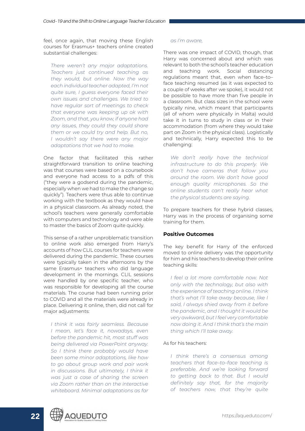feel, once again, that moving these English courses for Erasmus+ teachers online created substantial challenges:

*There weren't any major adaptations. Teachers just continued teaching as they would, but online. Now the way each individual teacher adapted, I'm not quite sure, I guess everyone faced their own issues and challenges. We tried to have regular sort of meetings to check that everyone was keeping up ok with Zoom, and that, you know, if anyone had any issues, they could they could share them or we could try and help. But no, I wouldn't say there were any major adaptations that we had to make.* 

One factor that facilitated this rather straightforward transition to online teaching was that courses were based on a coursebook and everyone had access to a pdfs of this ("they were a godsend during the pandemic, especially when we had to make the change so quickly"). Teachers were thus able to continue working with the textbook as they would have in a physical classroom. As already noted, the school's teachers were generally comfortable with computers and technology and were able to master the basics of Zoom quite quickly.

This sense of a rather unproblematic transition to online work also emerged from Harry's accounts of how CLIL courses for teachers were delivered during the pandemic. These courses were typically taken in the afternoons by the same Erasmus+ teachers who did language development in the mornings. CLIL sessions were handled by one specific teacher, who was responsible for developing all the course materials. The course had been running prior to COVID and all the materials were already in place. Delivering it online, then, did not call for major adjustments:

*I think it was fairly seamless. Because I mean, let's face it, nowadays, even before the pandemic hit, most stuff was being delivered via PowerPoint anyway. So I think there probably would have been some minor adaptations, like how to go about group work and pair work in discussions. But ultimately, I think it was just a case of sharing the screen via Zoom rather than on the interactive whiteboard. Minimal adaptations as far* 

#### *as I'm aware,*

There was one impact of COVID, though, that Harry was concerned about and which was relevant to both the school's teacher education and teaching work. Social distancing regulations meant that, even when face–to– face teaching resumed (as it was expected to a couple of weeks after we spoke), it would not be possible to have more than five people in a classroom. But class sizes in the school were typically nine, which meant that participants (all of whom were physically in Malta) would take it in turns to study in class or in their accommodation (from where they would take part on Zoom in the physical class). Logistically and technically, Harry expected this to be challenging:

*We don't really have the technical infrastructure to do this properly. We don't have cameras that follow you around the room. We don't have good enough quality microphones. So the online students can't really hear what the physical students are saying.* 

To prepare teachers for these hybrid classes, Harry was in the process of organising some training for them.

#### **Positive Outcomes**

The key benefit for Harry of the enforced moved to online delivery was the opportunity for him and his teachers to develop their online teaching skills:

*I feel a lot more comfortable now. Not only with the technology, but also with the experience of teaching online. I think that's what I'll take away because, like I said, I always shied away from it before the pandemic, and I thought it would be very awkward, but I feel very comfortable now doing it. And I think that's the main thing which I'll take away.*

#### As for his teachers:

*I think there's a consensus among teachers that face–to–face teaching is preferable. And we're looking forward to getting back to that. But I would definitely say that, for the majority of teachers now, that they're quite* 

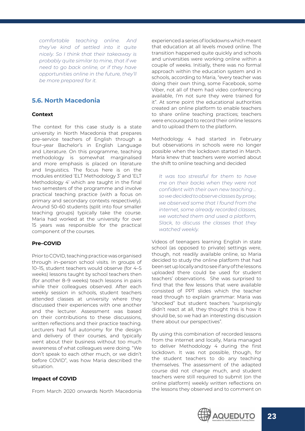<span id="page-22-0"></span>*comfortable teaching online. And they've kind of settled into it quite nicely. So I think that their takeaway is probably quite similar to mine, that if we need to go back online, or if they have opportunities online in the future, they'll be more prepared for it.*

## **5.6. North Macedonia**

#### **Context**

The context for this case study is a state university in North Macedonia that prepares pre–service teachers of English through a four–year Bachelor's in English Language and Literature. On this programme, teaching methodology is somewhat marginalised and more emphasis is placed on literature and linguistics. The focus here is on the modules entitled 'ELT Methodology 3' and 'ELT Methodology 4' which are taught in the final two semesters of the programme and involve practical teaching practice (with a focus on primary and secondary contexts respectively). Around 50–60 students (split into four smaller teaching groups) typically take the course. Maria had worked at the university for over 15 years was responsible for the practical component of the courses.

#### **Pre–COVID**

Prior to COVID, teaching practice was organised through in–person school visits. In groups of 10–15, student teachers would observe (for 4–5 weeks) lessons taught by school teachers then (for another 8–9 weeks) teach lessons in pairs while their colleagues observed. After each weekly session in schools, student teachers attended classes at university where they discussed their experiences with one another and the lecturer. Assessment was based on their contributions to these discussions, written reflections and their practice teaching. Lecturers had full autonomy for the design and delivery of their courses, and typically went about their business without too much awareness of what colleagues were doing. "We don't speak to each other much, or we didn't before COVID", was how Maria described the situation.

#### **Impact of COVID**

From March 2020 onwards North Macedonia

experienced a series of lockdowns which meant that education at all levels moved online. The transition happened quite quickly and schools and universities were working online within a couple of weeks. Initially, there was no formal approach within the education system and in schools, according to Maria, "every teacher was doing their own thing, some Facebook, some Viber, not all of them had video conferencing available, I'm not sure they were trained for it". At some point the educational authorities created an online platform to enable teachers to share online teaching practices; teachers were encouraged to record their online lessons and to upload them to the platform.

Methodology 4 had started in February but observations in schools were no longer possible when the lockdown started in March. Maria knew that teachers were worried about the shift to online teaching and decided

*It was too stressful for them to have me on their backs when they were not confident with their own new teaching … so we decided to observe classes by proxy, we observed some that I found from the internet, some already recorded classes, we watched them and used a platform, Slack, to discuss the classes that they watched weekly.*

Videos of teenagers learning English in state school (as opposed to private) settings were, though, not readily available online, so Maria decided to study the online platform that had been set up locally and to see if any of the lessons uploaded there could be used for student teachers' observations. She was surprised to find that the few lessons that were available consisted of PPT slides which the teacher read through to explain grammar: Maria was "shocked" but student teachers "surprisingly didn't react at all, they thought this is how it should be, so we had an interesting discussion there about our perspectives".

By using this combination of recorded lessons from the internet and locally, Maria managed to deliver Methodology 4 during the first lockdown. It was not possible, though, for the student teachers to do any teaching themselves. The assessment of the adapted course did not change much, and student teachers were still required to submit (on the online platform) weekly written reflections on the lessons they observed and to comment on

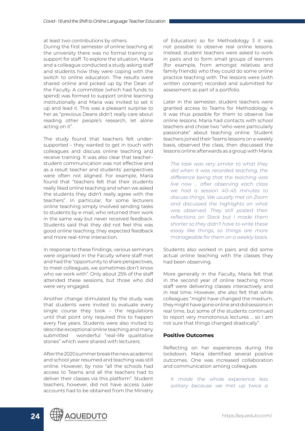at least two contributions by others.

During the first semester of online teaching at the university there was no formal training or support for staff. To explore the situation, Maria and a colleague conducted a study asking staff and students how they were coping with the switch to online education. The results were shared online and picked up by the Dean of the Faculty. A committee (which had funds to spend) was formed to support online learning institutionally and Maria was invited to set it up and lead it. This was a pleasant surprise to her as "previous Deans didn't really care about reading other people's research, let alone acting on it".

The study found that teachers felt undersupported – they wanted to get in touch with colleagues and discuss online teaching and receive training. It was also clear that teacher– student communication was not effective and as a result teacher and students' perspectives were often not aligned. For example, Maria found that "teachers felt that their students really liked online teaching and when we asked the students they didn't really agree with the teachers". In particular, for some lecturers online teaching simply involved sending tasks to students by e-mail, who returned their work in the same way but never received feedback. Students said that they did not feel this was good online teaching; they expected feedback and more real–time interaction.

In response to these findings, various seminars were organised in the Faculty where staff met and had the "opportunity to share perspectives, to meet colleagues, we sometimes don't know who we work with". Only about 25% of the staff attended these sessions, but those who did were very engaged.

Another change stimulated by the study was that students were invited to evaluate every single course they took – the regulations until that point only required this to happen every five years. Students were also invited to describe exceptional online teaching and many submitted wonderful "real-life qualitative stories" which were shared with lecturers.

After the 2020 summer break the new academic and school year resumed and teaching was still online. However, by now "all the schools had access to Teams and all the teachers had to deliver their classes via this platform". Student teachers, however, did not have access (user accounts had to be obtained from the Ministry of Education) so for Methodology 3 it was not possible to observe real online lessons. Instead, student teachers were asked to work in pairs and to form small groups of learners (for example, from amongst relatives and family friends) who they could do some online practice teaching with. The lessons were (with written consent) recorded and submitted for assessment as part of a portfolio.

Later in the semester, student teachers were granted access to Teams for Methodology 4 it was thus possible for them to observe live online lessons. Maria had contacts with school teachers and chose two "who were particularly passionate" about teaching online. Student teachers joined their Teams lessons on a weekly basis, observed the class, then discussed the lessons online afterwards as a group with Maria:

*The task was very similar to what they did when it was recorded teaching, the difference being that the teaching was live now … after observing each class we had a session 40–45 minutes to discuss things. We usually met on Zoom and discussed the highlights on what was observed. They still posted their reflections on Slack but I made them shorter so they didn't have to write these essay like things, so things are more manageable for them on a weekly basis.*

Students also worked in pairs and did some actual online teaching with the classes they had been observing.

More generally in the Faculty, Maria felt that in the second year of online teaching more staff were delivering classes interactively and in real time. However, she also felt that while colleagues "might have changed the medium, they might have gone online and did sessions in real time, but some of the students continued to report very monotonous lectures … so I am not sure that things changed drastically".

#### **Positive Outcomes**

Reflecting on her experiences during the lockdown, Maria identified several positive outcomes. One was increased collaboration and communication among colleagues:

*It made the whole experience less solitary because we met up twice a* 

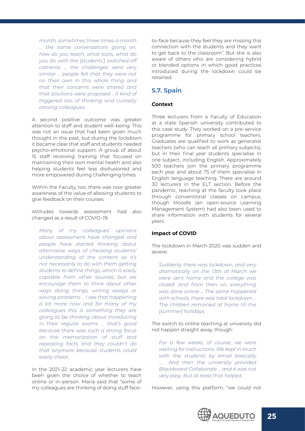<span id="page-24-0"></span>*month, sometimes three times a month … the same conversations going on, how do you teach, what tools, what do you do with the [students'] switched off cameras … the challenges were very similar … people felt that they were not on their own in this whole thing and that their concerns were shared and that solutions were proposed .. it kind of triggered lots of thinking and curiosity among colleagues.*

A second positive outcome was greater attention to staff and student well–being. This was not an issue that had been given much thought in the past, but during the lockdown it became clear that staff and students needed psycho–emotional support. A group of about 15 staff receiving training that focused on maintaining their own mental health and also helping students feel less disillusioned and more empowered during challenging times.

Within the Faculty, too, there was now greater awareness of the value of allowing students to give feedback on their courses.

Attitudes towards assessment had also changed as a result of COVID–19:

*Many of my colleagues' opinions about assessment have changed and people have started thinking about alternative ways of checking students' understanding of the content so it's not necessarily to do with them getting students to define things, which is easily copiable from other sources, but we encourage them to think about other ways doing things, writing essays or solving problems … I see that happening a lot more now and for many of my colleagues this is something they are going to be thinking about introducing in their regular exams … that's good because there was such a strong focus on the memorization of stuff and repeating facts and they couldn't do that anymore because students could easily cheat.*

In the 2021–22 academic year lecturers have been given the choice of whether to teach online or in–person. Maria said that "some of my colleagues are thinking of doing stuff face– to–face because they feel they are missing this connection with the students and they want to get back to the classroom". But she is also aware of others who are considering hybrid or blended options in which good practices introduced during the lockdown could be retained.

#### **5.7. Spain**

#### **Context**

Three lecturers from a Faculty of Education at a state Spanish university contributed to this case study. They worked on a pre–service programme for primary school teachers. Graduates are qualified to work as generalist teachers (who can teach all primary subjects), but in their final year students specialise in one subject, including English. Approximately 500 teachers join the primary programme each year and about 75 of them specialise in English language teaching. There are around 30 lecturers in the ELT section. Before the pandemic, teaching at the faculty took place through conventional classes on campus, though Moodle (an open-source Learning Management System) had also been used to share information with students for several years.

#### **Impact of COVID**

The lockdown in March 2020 was sudden and severe:

*Suddenly there was lockdown, and very dramatically on the 13th of March we were sent home and the college was closed. And from then on, everything was done online … The same happened with schools, there was total lockdown … The children remained at home till the [summer] holidays.* 

The switch to online teaching at university did not happen straight away, though:

*For a few weeks, of course, we were waiting for instructions. We kept in touch with the students by email basically … And then the university provided Blackboard Collaborate … and it was not very easy. But at least that helped.*

However, using this platform, "we could not

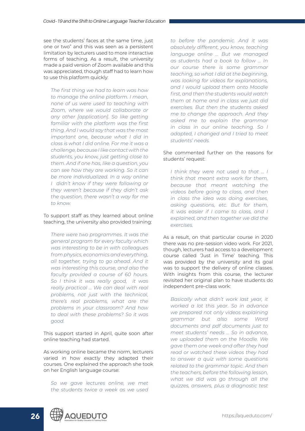see the students' faces at the same time, just one or two" and this was seen as a persistent limitation by lecturers used to more interactive forms of teaching. As a result, the university made a paid version of Zoom available and this was appreciated, though staff had to learn how to use this platform quickly:

*The first thing we had to learn was how to manage the online platform. I mean, none of us were used to teaching with Zoom, where we would collaborate or any other [application]. So like getting familiar with the platform was the first thing. And I would say that was the most important one, because what I did in class is what I did online. For me it was a challenge, because I like contact with the students, you know, just getting close to them. And if one has, like a question, you can see how they are working. So it can be more individualized. In a way online I didn't know if they were following or they weren't because if they didn't ask the question, there wasn't a way for me to know.*

To support staff as they learned about online teaching, the university also provided training:

*There were two programmes. It was the general program for every faculty which was interesting to be in with colleagues from physics, economics and everything, all together, trying to go ahead. And it was interesting this course, and also the faculty provided a course of 60 hours. So I think it was really good, it was really practical … We can deal with real problems, not just with the technical, there's real problems, what are the problems in your classroom? And how to deal with these problems? So it was good.*

This support started in April, quite soon after online teaching had started.

As working online became the norm, lecturers varied in how exactly they adapted their courses. One explained the approach she took on her English language course:

*So we gave lectures online, we met the students twice a week as we used* 

*to before the pandemic. And it was absolutely different, you know, teaching language online … But we managed as students had a book to follow … In our course there is some grammar teaching, so what I did at the beginning, was looking for videos for explanations, and I would upload them onto Moodle first, and then the students would watch them at home and in class we just did exercises. But then the students asked me to change the approach. And they asked me to explain the grammar in class in our online teaching. So I adapted, I changed and I tried to meet students' needs.*

#### She commented further on the reasons for students' request:

*I think they were not used to that … I think that meant extra work for them, because that meant watching the videos before going to class, and then in class the idea was doing exercises, asking questions, etc. But for them, it was easier if I came to class, and I explained, and then together we did the exercises.*

As a result, on that particular course in 2020 there was no pre–session video work. For 2021, though, lecturers had access to a development course called 'Just in Time' teaching. This was provided by the university and its goal was to support the delivery of online classes. With insights from this course, the lecturer revisited her original plan to have students do independent pre–class work:

*Basically what didn't work last year, it worked a lot this year. So in advance we prepared not only videos explaining grammar but also some Word documents and pdf documents just to meet students' needs … So in advance, we uploaded them on the Moodle. We gave them one week and after they had read or watched these videos they had to answer a quiz with some questions related to the grammar topic. And then the teachers, before the following lesson, what we did was go through all the quizzes, answers, plus a diagnostic test* 

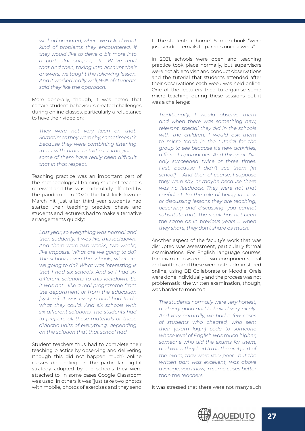*we had prepared, where we asked what kind of problems they encountered, if they would like to delve a bit more into a particular subject, etc. We've read that and then, taking into account their answers, we taught the following lesson. And it worked really well, 95% of students said they like the approach.*

More generally, though, it was noted that certain student behaviours created challenges during online classes, particularly a reluctance to have their video on:

*They were not very keen on that. Sometimes they were shy, sometimes it's because they were combining listening to us with other activities, I imagine … some of them have really been difficult that in that respect.* 

Teaching practice was an important part of the methodological training student teachers received and this was particularly affected by the pandemic. In 2020, the first lockdown in March hit just after third year students had started their teaching practice phase and students and lecturers had to make alternative arrangements quickly:

*Last year, so everything was normal and then suddenly, it was like this lockdown. And there were two weeks, two weeks, like impasse. What are we going to do? The schools, even the schools, what are we going to do? What was interesting is that I had six schools. And so I had six different solutions to this lockdown. So it was not like a real programme from the department or from the education [system]. It was every school had to do what they could. And six schools with six different solutions. The students had to prepare all these materials or these didactic units of everything, depending on the solution that that school had.*

Student teachers thus had to complete their teaching practice by observing and delivering (though this did not happen much) online classes depending on the particular digital strategy adopted by the schools they were attached to. In some cases Google Classroom was used, in others it was "just take two photos with mobile, photos of exercises and they send to the students at home". Some schools "were just sending emails to parents once a week".

in 2021, schools were open and teaching practice took place normally, but supervisors were not able to visit and conduct observations and the tutorial that students attended after their observations each week was held online. One of the lecturers tried to organise some micro teaching during these sessions but it was a challenge:

*Traditionally, I would observe them and when there was something new, relevant, special they did in the schools with the children, I would ask them to micro teach in the tutorial for the group to see because it's new activities, different approaches. And this year, I've only succeeded twice or three times. First, because I didn't see them [in school] … And then of course, I suppose they were shy, or maybe because there was no feedback. They were not that confident. So the role of being in class or discussing lessons they are teaching, observing and discussing, you cannot substitute that. The result has not been the same as in previous years … when they share, they don't share as much.* 

Another aspect of the faculty's work that was disrupted was assessment, particularly formal examinations. For English language courses, the exam consisted of two components, oral and written, and these were both administered online, using BB Collaborate or Moodle. Orals were done individually and the process was not problematic; the written examination, though, was harder to monitor:

*The students normally were very honest, and very good and behaved very nicely. And very naturally, we had a few cases of students who cheated, who sent their [exam login] code to someone whose level of English was much higher, someone who did the exams for them, and when they had to do the oral part of the exam, they were very poor, but the written part was excellent, was above average, you know, in some cases better than the teachers.*

It was stressed that there were not many such

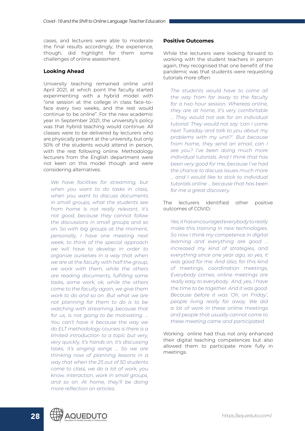cases, and lecturers were able to moderate the final results accordingly; the experience, though, did highlight for them some challenges of online assessment.

#### **Looking Ahead**

University teaching remained online until April 2021, at which point the faculty started experimenting with a hybrid model with "one session at the college in class face–to– face every two weeks, and the rest would continue to be online". For the new academic year in September 2021, the university's policy was that hybrid teaching would continue. All classes were to be delivered by lecturers who are physically present at the university, but only 50% of the students would attend in person, with the rest following online. Methodology lecturers from the English department were not keen on this model though and were considering alternatives:

*We have facilities for streaming, but when you want to do tasks in class, when you want to discuss documents in small groups, what the students see from home is not really relevant, it's not good, because they cannot follow the discussions in small groups and so on. So with big groups at the moment, personally, I have one meeting next week, to think of the special approach we will have to develop in order to organize ourselves in a way that when we are at the faculty with half the group, we work with them, while the others are reading documents, fulfilling some tasks, some work, ok, while the others come to the faculty again, we give them work to do and so on. But what we are not planning for them to do is to be watching with streaming, because that for us, is not going to be motivating. … You can't have it because the way we do ELT methodology courses is there is a limited introduction to a topic but very, very quickly, it's hands on, it's discussing tasks, it's singing songs … So we are thinking now of planning lessons in a way that when the 25 out of 50 students come to class, we do a lot of work, you know, interaction, work in small groups, and so on. At home, they'll be doing more reflection on articles.*

#### **Positive Outcomes**

While the lecturers were looking forward to working with the student teachers in person again, they recognised that one benefit of the pandemic was that students were requesting tutorials more often:

*The students would have to come all the way from far away to the faculty for a two hour session. Whereas online, they are at home, it's very comfortable … They would not ask for an individual tutorial. They would not say 'can I come next Tuesday and talk to you about my problems with my unit?'. But because from home, they send an email, can I see you? I've been doing much more individual tutorials. And I think that has been very good for me, because I've had the chance to discuss issues much more … and I would like to stick to individual tutorials online … because that has been for me a great discovery.*

The lecturers identified other positive outcomes of COVID:

*Yes, it has encouraged everybody to really make this training in new technologies. So now I think my competence in digital learning and everything are good ... increased my kind of strategies, and everything since one year ago, so yes, it was good for me. And also, for this kind of meetings, coordination meetings, Everybody comes, online meetings are really easy to everybody. And, yes, I have the time to be together. And it was good. Because before it was 'Oh, on Friday', people living really far away. We did a lot of work in these online meetings and people that usually cannot come to these meeting came and participated.*

Working online had thus not only enhanced their digital teaching competences but also allowed them to participate more fully in meetings.

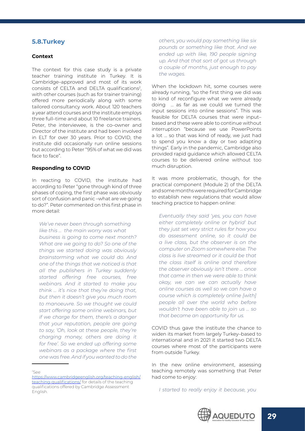## <span id="page-28-0"></span>**5.8.Turkey**

#### **Context**

The context for this case study is a private teacher training institute in Turkey. It is Cambridge–approved and most of its work consists of CELTA and DELTA qualifications2, with other courses (such as for trainer training) offered more periodically along with some tailored consultancy work. About 120 teachers a year attend courses and the institute employs three full–time and about 10 freelance trainers. Peter, the interviewee, is the co–owner and Director of the institute and had been involved in ELT for over 30 years. Prior to COVID, the institute did occasionally run online sessions but according to Peter "95% of what we did was face to face".

#### **Responding to COVID**

In reacting to COVID, the institute had according to Peter "gone through kind of three phases of coping, the first phase was obviously sort of confusion and panic –what are we going to do?". Peter commented on this first phase in more detail:

*We've never been through something like this … the main worry was what business is going to come next month? What are we going to do? So one of the things we started doing was obviously brainstorming what we could do. And one of the things that we noticed is that all the publishers in Turkey suddenly started offering free courses, free webinars. And it started to make you think … it's nice that they're doing that, but then it doesn't give you much room to manoeuvre. So we thought we could start offering some online webinars, but if we charge for them, there's a danger that your reputation, people are going to say, 'Oh, look at these people, they're charging money, others are doing it for free'. So we ended up offering some webinars as a package where the first one was free. And if you wanted to do the* 

2 See [https://www.cambridgeenglish.org/teaching-english/](https://www.cambridgeenglish.org/teaching-english/teaching-qualifications/) [teaching-qualifications/](https://www.cambridgeenglish.org/teaching-english/teaching-qualifications/) for details of the teaching qualifications offered by Cambridge Assessment English.

*others, you would pay something like six pounds or something like that. And we ended up with like, 190 people signing up. And that that sort of got us through a couple of months, just enough to pay the wages.*

When the lockdown hit, some courses were already running, "so the first thing we did was to kind of reconfigure what we were already doing … as far as we could we turned the input sessions into online sessions". This was feasible for DELTA courses that were input– based and these were able to continue without interruption "because we use PowerPoints a lot ... so that was kind of ready, we just had to spend you know a day or two adapting things". Early in the pandemic, Cambridge also provided rapid guidance which allowed CELTA courses to be delivered online without too much disruption.

It was more problematic, though, for the practical component (Module 2) of the DELTA and some months were required for Cambridge to establish new regulations that would allow teaching practice to happen online:

*Eventually they said 'yes, you can have either completely online or hybrid' but they just set very strict rules for how you do assessment online, so it could be a live class, but the observer is on the computer on Zoom somewhere else. The class is live streamed or it could be that the class itself is online and therefore the observer obviously isn't there … once that came in then we were able to think okay, we can we can actually have online courses as well so we can have a course which is completely online [with] people all over the world who before wouldn't have been able to join us … so that became an opportunity for us.*

COVID thus gave the institute the chance to widen its market from largely Turkey–based to international and in 2021 it started two DELTA courses where most of the participants were from outside Turkey.

In the new online environment, assessing teaching remotely was something that Peter had come to enjoy:

*I started to really enjoy it because, you* 

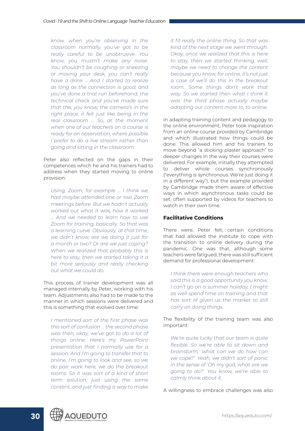*know, when you're observing in the classroom normally, you've got to be really careful to be unobtrusive. You know, you mustn't make any noise. You shouldn't be coughing or sneezing or moving your desk, you can't really have a drink … And I started to realize as long as the connection is good, and you've done a trial run beforehand, the technical check and you've made sure that the, you know, the camera's in the right place, it felt just like being in the real classroom … So, at the moment when one of our teachers on a course is ready for an observation, where possible I prefer to do a live stream rather than going and sitting in the classroom.*

Peter also reflected on the gaps in their competences which he and his trainers had to address when they started moving to online provision:

*Using, Zoom, for example … I think we had maybe attended one or two Zoom meetings before. But we hadn't actually worked out what it was, how it worked … And we needed to learn how to use Zoom for training, basically. So that was a learning curve. Obviously, at that time, we didn't know, are we doing it just for a month or two? Or are we just coping? When we realized that probably this is here to stay, then we started taking it a bit more seriously and really checking out what we could do.*

This process of trainer development was all managed internally by Peter, working with his team. Adjustments also had to be made to the manner in which sessions were delivered and this is something that evolved over time:

*I mentioned sort of the first phase was this sort of confusion … the second phase was then, okay, we've got to do a lot of things online. Here's my PowerPoint presentation that I normally use for a session. And I'm going to transfer that to online, I'm going to look and see, so we do pair work here, we do the breakout rooms. So it was sort of a kind of short term solution, just using the same content, and just finding a way to make* 

*it fit really the online thing. So that was kind of the next stage we went through. Okay, once we realized that this is here to stay, then we started thinking, well, maybe we need to change the content because you know, for online, it's not just a case of we'll do this in the breakout room. Some things don't work that way. So we started then what I think it was the third phase actually maybe adapting our content more to, to online.*

In adapting training content and pedagogy to the online environment, Peter took inspiration from an online course provided by Cambridge and which illustrated how things could be done. This allowed him and his trainers to move beyond "a sticking plaster approach" to deeper changes in the way their courses were delivered. For example, initially they attempted to deliver whole courses synchronously ("everything is synchronous. We're just doing it in a different way"), but the example provided by Cambridge made them aware of effective ways in which asynchronous tasks could be set, often supported by videos for teachers to watch in their own time.

#### **Facilitative Conditions**

There were, Peter felt, certain conditions that had allowed the institute to cope with the transition to online delivery during the pandemic. One was that, although some teachers were fatigued, there was still sufficient demand for professional development:

*I think there were enough teachers who said this is a good opportunity you know, I can't go on a summer holiday, I might as well spend time on training and that has sort of given us the market to still carry on doing things.*

The flexibility of the training team was also important:

*We're quite lucky that our team is quite flexible. So we're able to sit down and brainstorm, 'what can we do how can we cope?'. Yeah, we didn't sort of panic in the sense of 'Oh my god, what are we going to do?'. You know, we're able to calmly think about it.*

A willingness to embrace challenges was also

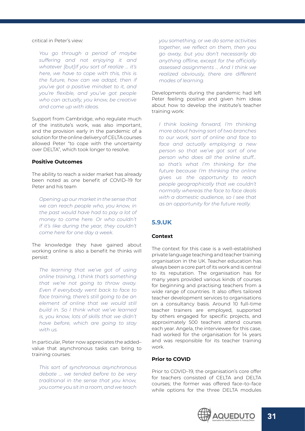<span id="page-30-0"></span>critical in Peter's view:

*You go through a period of maybe suffering and not enjoying it and whatever [but]if you sort of realize … it's here, we have to cope with this, this is the future, how can we adapt, then if you've got a positive mindset to it, and you're flexible, and you've got people who can actually, you know, be creative and come up with ideas.*

Support from Cambridge, who regulate much of the institute's work, was also important, and the provision early in the pandemic of a solution for the online delivery of CELTA courses allowed Peter "to cope with the uncertainty over DELTA", which took longer to resolve.

#### **Positive Outcomes**

The ability to reach a wider market has already been noted as one benefit of COVID–19 for Peter and his team

*Opening up our market in the sense that we can reach people who, you know, in the past would have had to pay a lot of money to come here. Or who couldn't if it's like during the year, they couldn't come here for one day a week.* 

The knowledge they have gained about working online is also a benefit he thinks will persist:

*The learning that we've got of using online training, I think that's something that we're not going to throw away. Even if everybody went back to face to face training, there's still going to be an element of online that we would still build in. So I think what we've learned is, you know, lots of skills that we didn't have before, which are going to stay with us.* 

In particular, Peter now appreciates the added– value that asynchronous tasks can bring to training courses:

*This sort of synchronous asynchronous debate … we tended before to be very traditional in the sense that you know, you come you sit in a room, and we teach* 

*you something, or we do some activities together, we reflect on them, then you go away, but you don't necessarily do anything offline, except for the officially assessed assignments … And I think we realized obviously, there are different modes of learning.*

Developments during the pandemic had left Peter feeling positive and given him ideas about how to develop the institute's teacher training work:

*I think looking forward, I'm thinking more about having sort of two branches to our work, sort of online and face to face and actually employing a new person so that we've got sort of one person who does all the online stuff… so that's what I'm thinking for the future because I'm thinking the online gives us the opportunity to reach people geographically that we couldn't normally whereas the face to face deals with a domestic audience, so I see that as an opportunity for the future really.*

## **5.9.UK**

#### **Context**

The context for this case is a well–established private language teaching and teacher training organisation in the UK. Teacher education has always been a core part of its work and is central to its reputation. The organisation has for many years provided various kinds of courses for beginning and practising teachers from a wide range of countries. It also offers tailored teacher development services to organisations on a consultancy basis. Around 10 full–time teacher trainers are employed, supported by others engaged for specific projects, and approximately 500 teachers attend courses each year. Angela, the interviewee for this case, had worked for the organisation for 14 years and was responsible for its teacher training work.

#### **Prior to COVID**

Prior to COVID–19, the organisation's core offer for teachers consisted of CELTA and DELTA courses; the former was offered face–to–face while options for the three DELTA modules

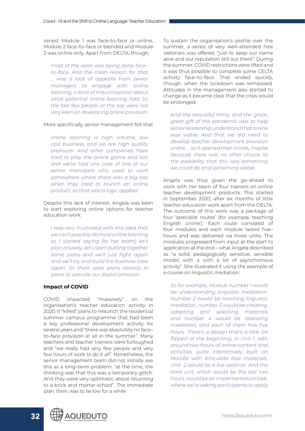varied: Module 1 was face–to–face or online, Module 2 face–to–face or blended and Module 3 was online only. Apart from DELTA, though,

*most of the work was being done face– to–face. And the main reason for that … was a lack of appetite from senior managers to engage with online learning, a kind of misconception about what potential online learning had. So the last few people at the top were not very keen on developing online provision.*

#### More specifically, senior management felt that

*online learning is high volume, low cost business, and we are high quality premium. And other companies have tried to play the online game and lost and we've had one case of one of our senior managers who used to work somewhere where there was a big loss when they tried to launch an online product, so that was a logic applied.*

Despite this lack of interest, Angela was keen to start exploring online options for teacher education work:

*I was very frustrated with this idea that we can't possibly do more online learning so I started saying [to her team] let's plan anyway, let's start putting together some plans and we'll just fight again and we'll try and build the business case again. So there were plans already in place to upscale our digital provision.*

#### **Impact of COVID**

COVID impacted "massively" on the organisation's teacher education activity in 2020. It "killed" plans to relaunch the residential summer campus programme that had been a key professional development activity for several years and "there was absolutely no face– to–face provision at all in the summer". Many teachers and teacher trainers were furloughed and "we really had very few people and very few hours of work to do it all". Nonetheless, the senior management team did not initially see this as a long–term problem: "at the time, the thinking was that this was a temporary glitch. And they were very optimistic about returning to a brick and mortar school". The immediate plan, then, was to lie low for a while.

To sustain the organisation's profile over the summer, a series of very well–attended free webinars was offered, "just to keep our name alive and our reputation still out there". During the summer, COVID restrictions were lifted and it was thus possible to complete some CELTA activity face–to–face. That ended quickly, though, when the lockdown was reimposed. Attitudes in the management also started to change as it became clear that the crisis would be prolonged:

*And the beautiful thing, and the great, great gift of the pandemic was to help senior leadership understand that online was viable. And that we did need to develop teacher development provision online … so it opened their minds, maybe because there was no other choice, to the possibility that this was something we could do and something viable.*

Angela was thus given the go–ahead to work with her team of four trainers on online teacher development products. This started in September 2020, after six months of little teacher education work apart from the DELTA. The outcome of this work was a package of four 'specialist routes' (for example, teaching English online'). Each route consisted of four modules and each module lasted five– hours and was delivered via three units. The modules progressed from input at the start to application at the end – what Angela described as "a solid, pedagogically sensitive, sensible model, with a with a lot of asynchronous activity". She illustrated it using the example of a course on linguistic mediation:

*So for example, Module number 1 would be understanding linguistic mediation. Number 2 would be teaching linguistic mediation, number 3 would be creating, adapting and selecting materials and number 4 would be assessing mediation, and each of them has five hours. There's a design that's a little bit flipped at the beginning, in Unit 1, with around two hours of online content and activities quite interactively built on Moodle with Articulate Rise materials. Unit 2 would be a live webinar. And the third unit, which would be the last two hours, would be an implementation task, where we're asking participants to apply* 

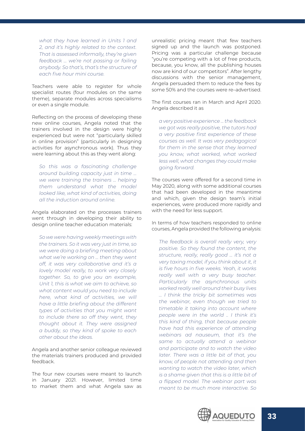*what they have learned in Units 1 and 2, and it's highly related to the context. That is assessed informally, they're given feedback … we're not passing or failing anybody. So that's, that's the structure of each five hour mini course.*

Teachers were able to register for whole specialist routes (four modules on the same theme), separate modules across specialisms or even a single module.

Reflecting on the process of developing these new online courses, Angela noted that the trainers involved in the design were highly experienced but were not "particularly skilled in online provision" (particularly in designing activities for asynchronous work). Thus they were learning about this as they went along:

*So this was a fascinating challenge around building capacity just in time … we were training the trainers … helping them understand what the model looked like, what kind of activities, doing all the induction around online.*

Angela elaborated on the processes trainers went through in developing their ability to design online teacher education materials:

*So we were having weekly meetings with the trainers. So it was very just in time, so we were doing a briefing meeting about what we're working on … then they went off, it was very collaborative and it's a lovely model really, to work very closely together. So, to give you an example, Unit 1, this is what we aim to achieve, so what content would you need to include here, what kind of activities, we will have a little briefing about the different types of activities that you might want to include there so off they went, they thought about it. They were assigned a buddy, so they kind of spoke to each other about the ideas.* 

Angela and another senior colleague reviewed the materials trainers produced and provided feedback.

The four new courses were meant to launch in January 2021. However, limited time to market them and what Angela saw as unrealistic pricing meant that few teachers signed up and the launch was postponed. Pricing was a particular challenge because "you're competing with a lot of free products, because, you know, all the publishing houses now are kind of our competitors". After lengthy discussions with the senior management, Angela persuaded them to reduce the fees by some 50% and the courses were re–advertised.

The first courses ran in March and April 2020. Angela described it as

*a very positive experience … the feedback we got was really positive, the tutors had a very positive first experience of these courses as well. It was very pedagogical for them in the sense that they learned you know, what worked, what worked less well, what changes they could make going forward.*

The courses were offered for a second time in May 2020, along with some additional courses that had been developed in the meantime and which, given the design team's initial experiences, were produced more rapidly and with the need for less support.

In terms of how teachers responded to online courses, Angela provided the following analysis:

*The feedback is overall really very, very positive. So they found the content, the structure, really, really good … it's not a very taxing model, if you think about it, it is five hours in five weeks. Yeah, it works really well with a very busy teacher. Particularly the asynchronous units worked really well around their busy lives … I think the tricky bit sometimes was the webinar, even though we tried to timetable it taking into account where people were in the world .. I think it's this kind of thing, that because people have had this experience of attending webinars ad nauseum, that it's the same to actually attend a webinar and participate and to watch the video later. There was a little bit of that, you know, of people not attending and then wanting to watch the video later, which is a shame given that this is a little bit of a flipped model. The webinar part was meant to be much more interactive. So* 

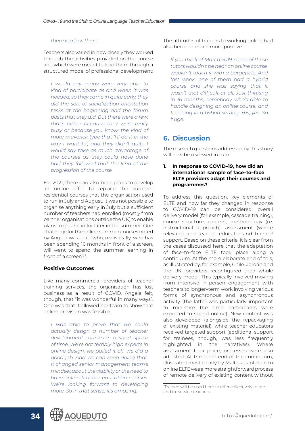#### <span id="page-33-0"></span>*there is a loss there.*

Teachers also varied in how closely they worked through the activities provided on the course and which were meant to lead them through a structured model of professional development:

*I would say many were very able to kind of participate as and when it was needed, so they came in quite early, they did the sort of socialization orientation tasks at the beginning and the forum posts that they did. But there were a few, that's either because they were really busy or because you know, the kind of more maverick type that 'I'll do it in the way I want to', and they didn't quite I would say take as much advantage of the courses as they could have done had they followed that the kind of the progression of the course.*

For 2021, there had also been plans to develop an online offer to replace the summer residential courses that the organisation used to run in July and August. It was not possible to organise anything early in July but a sufficient number of teachers had enrolled (mostly from partner organisations outside the UK) to enable plans to go ahead for later in the summer. One challenge for the online summer courses noted by Angela was that "who, realistically, who has been spending 16 months in front of a screen, will want to spend the summer learning in front of a screen?".

#### **Positive Outcomes**

Like many commercial providers of teacher training services, the organisation has lost business as a result of COVID. Angela felt, though, that "it was wonderful in many ways". One was that it allowed her team to show that online provision was feasible:

*I was able to prove that we could actually design a number of teacher development courses in a short space of time. We're not terribly high experts in online design, we pulled it off, we did a good job. And we can keep doing that. It changed senior management team's mindset about the viability or the need to have online teacher education courses. We're looking forward to developing more. So in that sense, it's amazing.*

The attitudes of trainers to working online had also become much more positive:

*If you think of March 2019, some of these tutors wouldn't be near an online course, wouldn't touch it with a bargepole. And last week, one of them had a hybrid course and she was saying that it wasn't that difficult at all. Just thinking in 16 months, somebody who's able to handle designing an online course, and teaching in a hybrid setting. Yes, yes. So huge.*

## **6. Discussion**

The research questions addressed by this study will now be reviewed in turn.

#### **1. In response to COVID–19, how did an international sample of face–to–face ELTE providers adapt their courses and programmes?**

To address this question, key elements of ELTE and how far they changed in response to COVID–19 can be considered: overall delivery model (for example, cascade training), course structure, content, methodology (i.e. instructional approach), assessment (where relevant) and teacher educator and trainee<sup>3</sup> support. Based on these criteria, it is clear from the cases discussed here that the adaptation of face–to–face ELTE took place along a continuum. At the more elaborate end of this, as illustrated by, for example, Chile. Jordan and the UK, providers reconfigured their whole delivery model. This typically involved moving from intensive in–person engagement with teachers to longer–term work involving various forms of synchronous and asynchronous activity (the latter was particularly important to minimise the time participants were expected to spend online). New content was also developed (alongside the repackaging of existing material), while teacher educators received targeted support (additional support for trainees, though, was less frequently highlighted in the narratives). Where assessment took place, processes were also adjusted. At the other end of the continuum, illustrated most clearly by Malta, adaptation to online ELTE was a more straightforward process of remote delivery of existing content without



<sup>3</sup> Trainee will be used here to refer collectively to pre– and in–service teachers.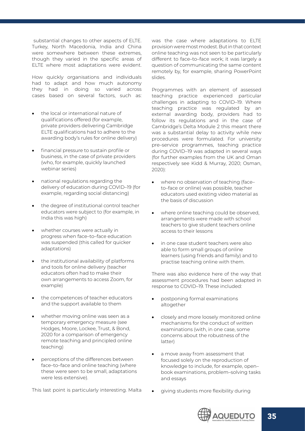substantial changes to other aspects of ELTE. Turkey, North Macedonia, India and China were somewhere between these extremes, though they varied in the specific areas of ELTE where most adaptations were evident.

How quickly organisations and individuals had to adapt and how much autonomy they had in doing so varied across cases based on several factors, such as:

- the local or international nature of qualifications offered (for example, private providers delivering Cambridge ELTE qualifications had to adhere to the awarding body's rules for online delivery)
- financial pressure to sustain profile or business, in the case of private providers (who, for example, quickly launched webinar series)
- national regulations regarding the delivery of education during COVID–19 (for example, regarding social distancing)
- the degree of institutional control teacher educators were subject to (for example, in India this was high)
- whether courses were actually in progress when face–to–face education was suspended (this called for quicker adaptations)
- the institutional availability of platforms and tools for online delivery (teacher educators often had to make their own arrangements to access Zoom, for example)
- the competences of teacher educators and the support available to them
- whether moving online was seen as a temporary emergency measure (see Hodges, Moore, Lockee, Trust, & Bond, 2020 for a comparison of emergency remote teaching and principled online teaching)
- perceptions of the differences between face–to–face and online teaching (where these were seen to be small, adaptations were less extensive).

This last point is particularly interesting. Malta

was the case where adaptations to ELTE provision were most modest. But in that context online teaching was not seen to be particularly different to face–to–face work; it was largely a question of communicating the same content remotely by, for example, sharing PowerPoint slides.

Programmes with an element of assessed teaching practice experienced particular challenges in adapting to COVID–19. Where teaching practice was regulated by an external awarding body, providers had to follow its regulations and in the case of Cambridge's Delta Module 2 this meant there was a substantial delay to activity while new procedures were formulated. For university pre–service programmes, teaching practice during COVID–19 was adapted in several ways (for further examples from the UK and Oman respectively see Kidd & Murray, 2020; Osman, 2020):

- where no observation of teaching (faceto–face or online) was possible, teacher educators used existing video material as the basis of discussion
- where online teaching could be observed, arrangements were made with school teachers to give student teachers online access to their lessons
- in one case student teachers were also able to form small groups of online learners (using friends and family) and to practise teaching online with them.

There was also evidence here of the way that assessment procedures had been adapted in response to COVID–19. These included:

- postponing formal examinations altogether
- closely and more loosely monitored online mechanisms for the conduct of written examinations (with, in one case, some concerns about the robustness of the latter)
- a move away from assessment that focused solely on the reproduction of knowledge to include, for example, open– book examinations, problem–solving tasks and essays
- giving students more flexibility during

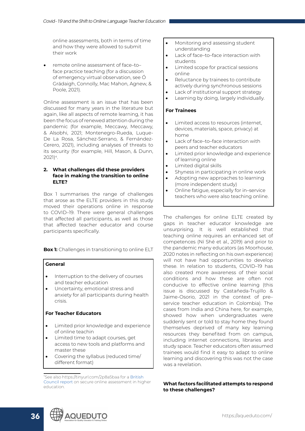online assessments, both in terms of time and how they were allowed to submit their work

remote online assessment of face-toface practice teaching (for a discussion of emergency virtual observation, see Ó Grádaigh, Connolly, Mac Mahon, Agnew, & Poole, 2021).

Online assessment is an issue that has been discussed for many years in the literature but again, like all aspects of remote learning, it has been the focus of renewed attention during the pandemic (for example, Meccawy, Meccawy, & Alsobhi, 2021; Montenegro‐Rueda, Luque‐ De La Rosa, Sánchez-Serrano, & Fernández-Cerero, 2021), including analyses of threats to its security (for example, Hill, Mason, & Dunn, 2021)4.

#### **2. What challenges did these providers face in making the transition to online ELTE?**

Box 1 summarises the range of challenges that arose as the ELTE providers in this study moved their operations online in response to COVID–19. There were general challenges that affected all participants, as well as those that affected teacher educator and course participants specifically.

**Box 1:** Challenges in transitioning to online ELT

#### **General**

- Interruption to the delivery of courses and teacher education
- Uncertainty, emotional stress and anxiety for all participants during health crisis.

#### **For Teacher Educators**

- • Limited prior knowledge and experience of online teachin
- Limited time to adapt courses, get access to new tools and platforms and master these
- Covering the syllabus (reduced time/ different format)
- Monitoring and assessing student understanding
- Lack of face–to–face interaction with students
- Limited scope for practical sessions online
- • Reluctance by trainees to contribute actively during synchronous sessions
- Lack of institutional support strategy
- • Learning by doing, largely individually.

#### **For Trainees**

- Limited access to resources (internet, devices, materials, space, privacy) at home
- Lack of face–to–face interaction with peers and teacher educators
- Limited prior knowledge and experience of learning online
- • Limited digital skills
- Shyness in participating in online work
- Adopting new approaches to learning (more independent study)
- Online fatigue, especially for in-service teachers who were also teaching online.

The challenges for online ELTE created by gaps in teacher educator knowledge are unsurprising. It is well established that teaching online requires an enhanced set of competences (Ní Shé et al., 2019) and prior to the pandemic many educators (as Moorhouse, 2020 notes in reflecting on his own experience) will not have had opportunities to develop these. In relation to students, COVID–19 has also created more awareness of their social conditions and how these are often not conducive to effective online learning (this issue is discussed by Castañeda-Trujillo & Jaime-Osorio, 2021 in the context of pre– service teacher education in Colombia). The cases from India and China here, for example, showed how when undergraduates were suddenly sent or told to stay home they found themselves deprived of many key learning resources they benefited from on campus, including internet connections, libraries and study space. Teacher educators often assumed trainees would find it easy to adapt to online learning and discovering this was not the case was a revelation.

**What factors facilitated attempts to respond to these challenges?**



<sup>4</sup> See also https://tinyurl.com/2p8a5baa for a British Council report on secure online assessment in higher education.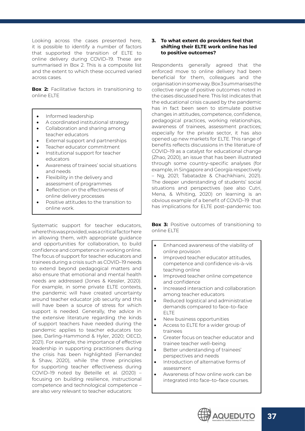Looking across the cases presented here, it is possible to identify a number of factors that supported the transition of ELTE to online delivery during COVID–19. These are summarised in Box 2. This is a composite list and the extent to which these occurred varied across cases.

**Box 2:** Facilitative factors in transitioning to online ELTE

- Informed leadership
- A coordinated institutional strategy
- Collaboration and sharing among teacher educators
- External support and partnerships
- • Teacher educator commitment
- • Institutional support for teacher educators
- Awareness of trainees' social situations and needs
- • Flexibility in the delivery and assessment of programmes
- • Reflection on the effectiveness of online delivery processes
- Positive attitudes to the transition to online work.

Systematic support for teacher educators, where this was provided, was a critical factor here in allowing them, with appropriate guidance and opportunities for collaboration, to build confidence and competence in working online. The focus of support for teacher educators and trainees during a crisis such as COVID–19 needs to extend beyond pedagogical matters and also ensure that emotional and mental health needs are addressed (Jones & Kessler, 2020). For example, in some private ELTE contexts, the pandemic will have created uncertainty around teacher educator job security and this will have been a source of stress for which support is needed. Generally, the advice in the extensive literature regarding the kinds of support teachers have needed during the pandemic applies to teacher educators too (see, Darling-Hammond & Hyler, 2020; OECD, 2021). For example, the importance of effective leadership in supporting practitioners during the crisis has been highlighted (Fernandez & Shaw, 2020), while the three principles for supporting teacher effectiveness during COVID–19 noted by Beteille et al. (2020) – focusing on building resilience, instructional competence and technological competence – are also very relevant to teacher educators:

#### **3. To what extent do providers feel that shifting their ELTE work online has led to positive outcomes?**

Respondents generally agreed that the enforced move to online delivery had been beneficial for them, colleagues and the organisation in some way. Box 3 summarises the collective range of positive outcomes noted in the cases discussed here. This list indicates that the educational crisis caused by the pandemic has in fact been seen to stimulate positive changes in attitudes, competence, confidence, pedagogical practices, working relationships, awareness of trainees, assessment practices; especially for the private sector, it has also opened up new markets for ELTE. This range of benefits reflects discussions in the literature of COVID–19 as a catalyst for educational change (Zhao, 2020), an issue that has been illustrated through some country–specific analyses (for example, in Singapore and Georgia respectively – Ng, 2021; Tabatadze & Chachkhiani, 2021). The deeper understanding of students' social situations and perspectives (see also Cutri, Mena, & Whiting, 2020) on learning is an obvious example of a benefit of COVID–19 that has implications for ELTE post–pandemic too.

**Box 3:** Positive outcomes of transitioning to online ELTE

- Enhanced awareness of the viability of online provision
- Improved teacher educator attitudes, competence and confidence vis–à–vis teaching online
- Improved teacher online competence and confidence
- Increased interaction and collaboration among teacher educators
- Reduced logistical and administrative demands compared to face–to–face ELTE
- New business opportunities
- Access to ELTE for a wider group of trainees
- Greater focus on teacher educator and trainee teacher well–being
- Better understanding of trainees' perspectives and needs
- Introduction of alternative forms of assessment
- Awareness of how online work can be integrated into face–to–face courses.

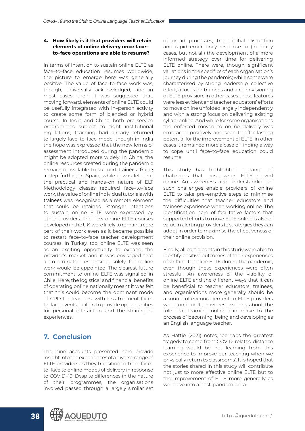#### <span id="page-37-0"></span>**4. How likely is it that providers will retain elements of online delivery once face– to–face operations are able to resume?**

In terms of intention to sustain online ELTE as face–to–face education resumes worldwide, the picture to emerge here was generally positive. The value of face–to–face work was, though, universally acknowledged, and in most cases, then, it was suggested that, moving forward, elements of online ELTE could be usefully integrated with in–person activity to create some form of blended or hybrid course. In India and China, both pre–service programmes subject to tight institutional regulations, teaching had already returned to largely face–to–face mode, though in India the hope was expressed that the new forms of assessment introduced during the pandemic might be adopted more widely. In China, the online resources created during the pandemic remained available to support trainees. Going a step further, in Spain, while it was felt that the practical and hands–on nature of ELT Methodology classes required face–to–face work, the value of online individual tutorials with trainees was recognised as a remote element that could be retained. Stronger intentions to sustain online ELTE were expressed by other providers. The new online ELTE courses developed in the UK were likely to remain a core part of their work even as it became possible to restart face–to–face teacher development courses. In Turkey, too, online ELTE was seen as an exciting opportunity to expand the provider's market and it was envisaged that a co–ordinator responsible solely for online work would be appointed. The clearest future commitment to online ELTE was signalled in Chile. Here, the logistical and financial benefits of operating online nationally meant it was felt that this could become the dominant mode of CPD for teachers, with less frequent face– to–face events built in to provide opportunities for personal interaction and the sharing of experiences.

## **7. Conclusion**

The nine accounts presented here provide insight into the experiences of a diverse range of ELTE providers as they transitioned from face– to–face to online modes of delivery in response to COVID–19. Despite differences in the nature of their programmes, the organisations involved passed through a largely similar set

of broad processes, from initial disruption and rapid emergency response to (in many cases, but not all) the development of a more informed strategy over time for delivering ELTE online. There were, though, significant variations in the specifics of each organisation's journey during the pandemic; while some were characterised by strong leadership, collective effort, a focus on trainees and a re–envisioning of ELTE provision, in other cases these features were less evident and teacher educators' efforts to move online unfolded largely independently and with a strong focus on delivering existing syllabi online. And while for some organisations the enforced moved to online delivery was embraced positively and seen to offer lasting potential for the improvement of ELTE, in other cases it remained more a case of finding a way to cope until face–to–face education could resume.

This study has highlighted a range of challenges that arose when ELTE moved online. An awareness and understanding of such challenges enable providers of online ELTE to take pre–emptive steps to minimise the difficulties that teacher educators and trainees experience when working online. The identification here of facilitative factors that supported efforts to move ELTE online is also of value in alerting providers to strategies they can adopt in order to maximise the effectiveness of their online provision.

Finally, all participants in this study were able to identify positive outcomes of their experiences of shifting to online ELTE during the pandemic, even though these experiences were often stressful. An awareness of the viability of online ELTE and the different ways that it can be beneficial to teacher educators, trainees, and organisations more generally should be a source of encouragement to ELTE providers who continue to have reservations about the role that learning online can make to the process of becoming, being and developing as an English language teacher.

As Hattie (2021) notes, 'perhaps the greatest tragedy to come from COVID–related distance learning would be not learning from this experience to improve our teaching when we physically return to classrooms'. It is hoped that the stories shared in this study will contribute not just to more effective online ELTE but to the improvement of ELTE more generally as we move into a post–pandemic era.

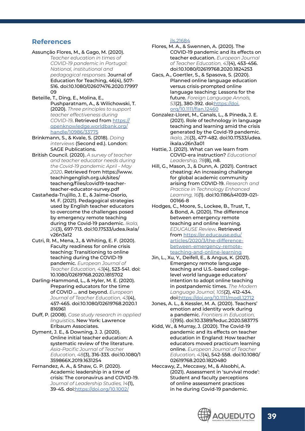## <span id="page-38-0"></span>**References**

- Assunção Flores, M., & Gago, M. (2020).  *Teacher education in times of COVID-19 pandemic in Portugal: National, institutional and pedagogical responses.* Journal of Education for Teaching, 46(4), 507- 516. doi:10.1080/02607476.2020.17997 09
- Beteille, T., Ding, E., Molina, E., Pushparatnam, A., & Wilichowski, T. (2020). *Three principles to support teacher effectiveness during COVID-19*. Retrieved from [https://](https://openknowledge.worldbank.org/handle/10986/33775) [openknowledge.worldbank.org/](https://openknowledge.worldbank.org/handle/10986/33775) [handle/10986/33775](https://openknowledge.worldbank.org/handle/10986/33775)
- Brinkmann, S., & Kvale, S. (2018). *Doing interviews* (Second ed.). London: SAGE Publications.
- British Council. (2020). *A survey of teacher and teacher educator needs during the Covid-19 pandemic April - May 2020*. Retrieved from https://www. teachingenglish.org.uk/sites/ teacheng/files/covid19-teacherteacher-educator-survey.pdf
- Castañeda-Trujillo, J. E., & Jaime-Osorio, M. F. (2021). Pedagogical strategies used by English teacher educators to overcome the challenges posed by emergency remote teaching during the Covid-19 pandemic. *Ikala, 26*(3), 697-713. doi:10.17533/udea.ikala/ v26n3a12
- Cutri, R. M., Mena, J., & Whiting, E. F. (2020). Faculty readiness for online crisis teaching: Transitioning to online teaching during the COVID-19 pandemic. *European Journal of Teacher Education, 43*(4), 523-541. doi: 10.1080/02619768.2020.1815702
- Darling-Hammond, L., & Hyler, M. E. (2020). Preparing educators for the time of COVID … and beyond. *European Journal of Teacher Education, 43*(4), 457-465. doi:10.1080/02619768.2020.1 816961
- Duff, P. (2008). *Case study research in applied linguistics*. New York: Lawrence Erlbaum Associates.
- Dyment, J. E., & Downing, J. J. (2020). Online initial teacher education: A systematic review of the literature. *Asia-Pacific Journal of Teacher Education, 48*(3), 316-333. doi:10.1080/1 359866X.2019.1631254
- Fernandez, A. A., & Shaw, G. P. (2020). Academic leadership in a time of crisis: The coronavirus and COVID-19. *Journal of Leadership Studies, 14*(1), 39-45. doi[:https://doi.org/10.1002/](https://doi.org/10.1002/jls.21684)

[jls.21684](https://doi.org/10.1002/jls.21684)

- Flores, M. A., & Swennen, A. (2020). The COVID-19 pandemic and its effects on teacher education. *European Journal of Teacher Education, 43*(4), 453-456. doi:10.1080/02619768.2020.1824253
- Gacs, A., Goertler, S., & Spasova, S. (2020). Planned online language education versus crisis-prompted online language teaching: Lessons for the future. *Foreign Language Annals, 53*(2), 380-392. doi:[https://doi.](https://doi.org/10.1111/flan.12460) [org/10.1111/flan.12460](https://doi.org/10.1111/flan.12460)
- Gonzalez-Lloret, M., Canals, L., & Pineda, J. E. (2021). Role of technology in language teaching and learning amid the crisis generated by the Covid-19 pandemic. *Ikala, 26*(3), 477-482. doi:10.17533/udea. ikala.v26n3a01
- Hattie, J. (2021). What can we learn from COVID-era instruction? *Educational Leadership, 78*(8), n8.
- Hill, G., Mason, J., & Dunn, A. (2021). Contract cheating: An increasing challenge for global academic community arising from COVID-19. *Research and Practice in Technology Enhanced Learning, 16*(1). doi:10.1186/s41039-021- 00166-8
- Hodges, C., Moore, S., Lockee, B., Trust, T., & Bond, A. (2020). The difference between emergency remote teaching and online learning. *EDUCAUSE Review*. Retrieved from [https://er.educause.edu/](https://er.educause.edu/articles/2020/3/the-difference-between-emergency-remote-teaching-and-online-learning) [articles/2020/3/the-difference](https://er.educause.edu/articles/2020/3/the-difference-between-emergency-remote-teaching-and-online-learning)[between-emergency-remote](https://er.educause.edu/articles/2020/3/the-difference-between-emergency-remote-teaching-and-online-learning)[teaching-and-online-learning](https://er.educause.edu/articles/2020/3/the-difference-between-emergency-remote-teaching-and-online-learning)
- Jin, L., Xu, Y., Deifell, E., & Angus, K. (2021). Emergency remote language teaching and U.S.-based collegelevel world language educators' intention to adopt online teaching in postpandemic times. *The Modern Language Journal, 105*(2), 412-434. doi[:https://doi.org/10.1111/modl.12712](https://doi.org/10.1111/modl.12712)
- Jones, A. L., & Kessler, M. A. (2020). Teachers' emotion and identity work during a pandemic. *Frontiers in Education, 5*(195). doi:10.3389/feduc.2020.583775
- Kidd, W., & Murray, J. (2020). The Covid-19 pandemic and its effects on teacher education in England: How teacher educators moved practicum learning online. *European Journal of Teacher Education, 43*(4), 542-558. doi:10.1080/ 02619768.2020.1820480
- Meccawy, Z., Meccawy, M., & Alsobhi, A. (2021). Assessment in 'survival mode': Student and faculty perceptions of online assessment practices in he during Covid-19 pandemic.

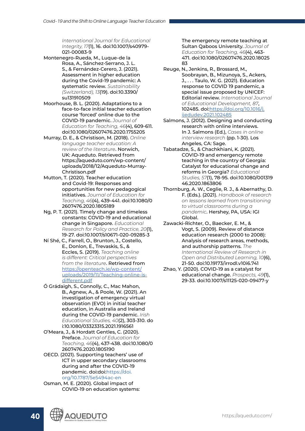*International Journal for Educational Integrity, 17*(1), 16. doi:10.1007/s40979- 021-00083-9

- Montenegro‐Rueda, M., Luque‐de la Rosa, A., Sánchez‐Serrano, J. L. S., & Fernández‐Cerero, J. (2021). Assessment in higher education during the Covid-19 pandemic: A systematic review. *Sustainability (Switzerland), 13*(19). doi:10.3390/ su131910509
- Moorhouse, B. L. (2020). Adaptations to a face-to-face initial teacher education course 'forced' online due to the COVID-19 pandemic. *Journal of Education for Teaching, 46*(4), 609-611. doi:10.1080/02607476.2020.1755205
- Murray, D. E., & Christison, M. (2018). *Online language teacher education: A review of the literature*. Norwich, UK: Aqueduto. Retrieved from https://aqueduto.com/wp-content/ uploads/2018/12/Aqueduto-Murray-Christison.pdf
- Mutton, T. (2020). Teacher education and Covid-19: Responses and opportunities for new pedagogical initiatives. *Journal of Education for Teaching, 46*(4), 439-441. doi:10.1080/0 2607476.2020.1805189
- Ng, P. T. (2021). Timely change and timeless constants: COVID-19 and educational change in Singapore. *Educational Research for Policy and Practice, 20*(1), 19-27. doi:10.1007/s10671-020-09285-3
- Ní Shé, C., Farrell, O., Brunton, J., Costello, E., Donlon, E., Trevaskis, S., & Eccles, S. (2019). *Teaching online is different: Critical perspectives from the literature*. Retrieved from [https://openteach.ie/wp-content/](https://openteach.ie/wp-content/uploads/2019/11/Teaching-online-is-different.pdf) [uploads/2019/11/Teaching-online-is](https://openteach.ie/wp-content/uploads/2019/11/Teaching-online-is-different.pdf)[different.pdf](https://openteach.ie/wp-content/uploads/2019/11/Teaching-online-is-different.pdf)
- Ó Grádaigh, S., Connolly, C., Mac Mahon, B., Agnew, A., & Poole, W. (2021). An investigation of emergency virtual observation (EVO) in initial teacher education, in Australia and Ireland during the COVID-19 pandemic. *Irish Educational Studies, 40*(2), 303-310. do i:10.1080/03323315.2021.1916561
- O'Meara, J., & Hordatt Gentles, C. (2020). Preface. *Journal of Education for Teaching, 46*(4), 437-438. doi:10.1080/0 2607476.2020.1805190
- OECD. (2021). Supporting teachers' use of ICT in upper secondary classrooms during and after the COVID-19 pandemic. doi:doi:[https://doi.](https://doi.org/10.1787/5e5494ac-en) [org/10.1787/5e5494ac-en](https://doi.org/10.1787/5e5494ac-en)
- Osman, M. E. (2020). Global impact of COVID-19 on education systems:

The emergency remote teaching at Sultan Qaboos University. *Journal of Education for Teaching, 46*(4), 463- 471. doi:10.1080/02607476.2020.18025 83

- Reuge, N., Jenkins, R., Brossard, M., Soobrayan, B., Mizunoya, S., Ackers, J., . . . Taulo, W. G. (2021). Education response to COVID 19 pandemic, a special issue proposed by UNICEF: Editorial review. *International Journal of Educational Development, 87*, 102485. doi:[https://doi.org/10.1016/j.](https://doi.org/10.1016/j.ijedudev.2021.102485) [ijedudev.2021.102485](https://doi.org/10.1016/j.ijedudev.2021.102485)
- Salmons, J. (2012). Designing and conducting research with online interviews. In J. Salmons (Ed.), *Cases in online interview research* (pp. 1-30). Los Angeles, CA: Sage.
- Tabatadze, S., & Chachkhiani, K. (2021). COVID-19 and emergency remote teaching in the country of Georgia: Catalyst for educational change and reforms in Georgia? *Educational Studies, 57*(1), 78-95. doi:10.1080/001319 46.2020.1863806
- Thornburg, A. W., Ceglie, R. J., & Abernathy, D. F. (Eds.). (2021). *Handbook of research on lessons learned from transitioning to virtual classrooms during a pandemic*. Hershey, PA, USA: IGI Global.
- Zawacki-Richter, O., Baecker, E. M., & Vogt, S. (2009). Review of distance education research (2000 to 2008): Analysis of research areas, methods, and authorship patterns. *The International Review of Research in Open and Distributed Learning, 10*(6), 21-50. doi:10.19173/irrodl.v10i6.741
- Zhao, Y. (2020). COVID-19 as a catalyst for educational change. *Prospects, 49*(1), 29-33. doi:10.1007/s11125-020-09477-y